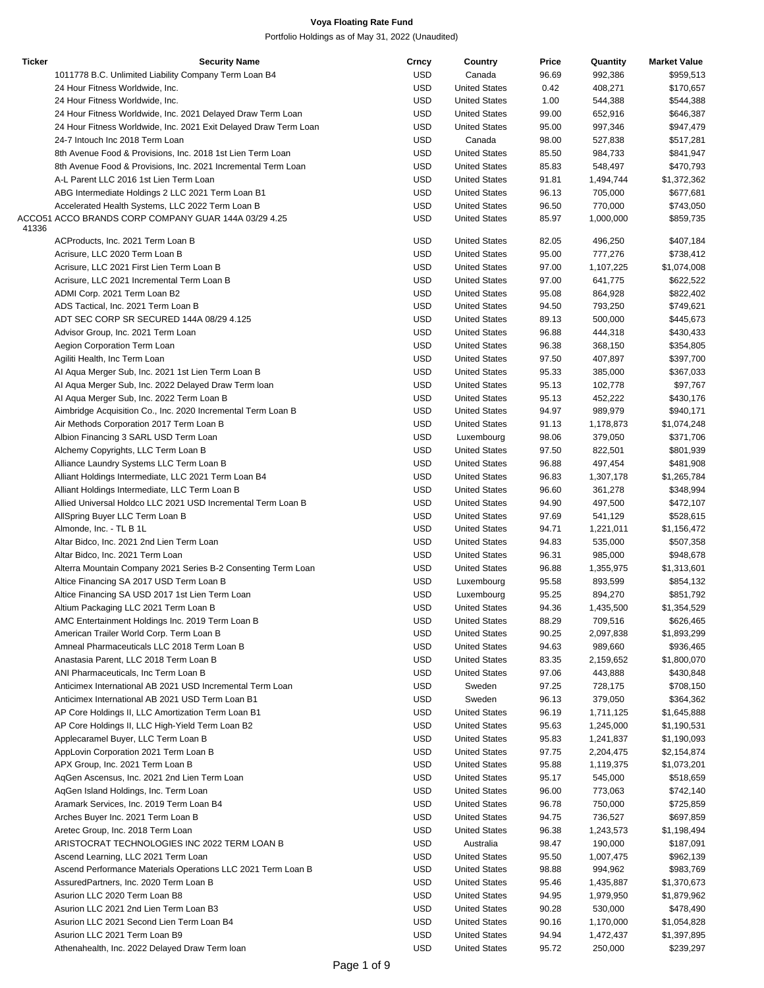| <b>Ticker</b> | <b>Security Name</b>                                             | Crncy      | Country              | Price | Quantity  | <b>Market Value</b> |
|---------------|------------------------------------------------------------------|------------|----------------------|-------|-----------|---------------------|
|               | 1011778 B.C. Unlimited Liability Company Term Loan B4            | <b>USD</b> | Canada               | 96.69 | 992,386   | \$959,513           |
|               | 24 Hour Fitness Worldwide, Inc.                                  | <b>USD</b> | <b>United States</b> | 0.42  | 408,271   | \$170,657           |
|               | 24 Hour Fitness Worldwide, Inc.                                  | <b>USD</b> | <b>United States</b> | 1.00  | 544,388   | \$544,388           |
|               | 24 Hour Fitness Worldwide, Inc. 2021 Delayed Draw Term Loan      | <b>USD</b> | <b>United States</b> | 99.00 | 652,916   | \$646,387           |
|               | 24 Hour Fitness Worldwide, Inc. 2021 Exit Delayed Draw Term Loan | <b>USD</b> | <b>United States</b> | 95.00 | 997,346   | \$947,479           |
|               | 24-7 Intouch Inc 2018 Term Loan                                  | <b>USD</b> | Canada               | 98.00 | 527,838   | \$517,281           |
|               | 8th Avenue Food & Provisions, Inc. 2018 1st Lien Term Loan       | <b>USD</b> | <b>United States</b> | 85.50 | 984,733   | \$841,947           |
|               | 8th Avenue Food & Provisions, Inc. 2021 Incremental Term Loan    | <b>USD</b> | <b>United States</b> | 85.83 | 548,497   | \$470,793           |
|               | A-L Parent LLC 2016 1st Lien Term Loan                           | <b>USD</b> | <b>United States</b> | 91.81 | 1,494,744 | \$1,372,362         |
|               | ABG Intermediate Holdings 2 LLC 2021 Term Loan B1                | <b>USD</b> | <b>United States</b> | 96.13 | 705,000   | \$677,681           |
|               | Accelerated Health Systems, LLC 2022 Term Loan B                 | <b>USD</b> | <b>United States</b> | 96.50 | 770,000   | \$743,050           |
|               | ACCO51 ACCO BRANDS CORP COMPANY GUAR 144A 03/29 4.25             | <b>USD</b> | <b>United States</b> | 85.97 | 1,000,000 | \$859,735           |
| 41336         |                                                                  |            |                      |       |           |                     |
|               | ACProducts, Inc. 2021 Term Loan B                                | <b>USD</b> | <b>United States</b> | 82.05 | 496,250   | \$407,184           |
|               | Acrisure, LLC 2020 Term Loan B                                   | <b>USD</b> | <b>United States</b> | 95.00 | 777,276   | \$738,412           |
|               | Acrisure, LLC 2021 First Lien Term Loan B                        | <b>USD</b> | <b>United States</b> | 97.00 | 1,107,225 | \$1,074,008         |
|               | Acrisure, LLC 2021 Incremental Term Loan B                       | <b>USD</b> | <b>United States</b> | 97.00 | 641,775   | \$622,522           |
|               | ADMI Corp. 2021 Term Loan B2                                     | <b>USD</b> | <b>United States</b> | 95.08 | 864,928   | \$822,402           |
|               | ADS Tactical, Inc. 2021 Term Loan B                              | <b>USD</b> | <b>United States</b> | 94.50 | 793,250   | \$749,621           |
|               | ADT SEC CORP SR SECURED 144A 08/29 4.125                         | <b>USD</b> | <b>United States</b> | 89.13 | 500,000   | \$445,673           |
|               |                                                                  | <b>USD</b> | <b>United States</b> | 96.88 |           | \$430,433           |
|               | Advisor Group, Inc. 2021 Term Loan                               |            |                      |       | 444,318   |                     |
|               | Aegion Corporation Term Loan                                     | <b>USD</b> | <b>United States</b> | 96.38 | 368,150   | \$354,805           |
|               | Agiliti Health, Inc Term Loan                                    | <b>USD</b> | <b>United States</b> | 97.50 | 407,897   | \$397,700           |
|               | Al Aqua Merger Sub, Inc. 2021 1st Lien Term Loan B               | <b>USD</b> | <b>United States</b> | 95.33 | 385,000   | \$367,033           |
|               | Al Aqua Merger Sub, Inc. 2022 Delayed Draw Term Ioan             | <b>USD</b> | <b>United States</b> | 95.13 | 102,778   | \$97,767            |
|               | Al Aqua Merger Sub, Inc. 2022 Term Loan B                        | <b>USD</b> | <b>United States</b> | 95.13 | 452,222   | \$430,176           |
|               | Aimbridge Acquisition Co., Inc. 2020 Incremental Term Loan B     | <b>USD</b> | <b>United States</b> | 94.97 | 989,979   | \$940,171           |
|               | Air Methods Corporation 2017 Term Loan B                         | <b>USD</b> | <b>United States</b> | 91.13 | 1,178,873 | \$1,074,248         |
|               | Albion Financing 3 SARL USD Term Loan                            | <b>USD</b> | Luxembourg           | 98.06 | 379,050   | \$371,706           |
|               | Alchemy Copyrights, LLC Term Loan B                              | <b>USD</b> | <b>United States</b> | 97.50 | 822,501   | \$801,939           |
|               | Alliance Laundry Systems LLC Term Loan B                         | <b>USD</b> | <b>United States</b> | 96.88 | 497,454   | \$481,908           |
|               | Alliant Holdings Intermediate, LLC 2021 Term Loan B4             | <b>USD</b> | <b>United States</b> | 96.83 | 1,307,178 | \$1,265,784         |
|               | Alliant Holdings Intermediate, LLC Term Loan B                   | <b>USD</b> | <b>United States</b> | 96.60 | 361,278   | \$348,994           |
|               | Allied Universal Holdco LLC 2021 USD Incremental Term Loan B     | <b>USD</b> | <b>United States</b> | 94.90 | 497,500   | \$472,107           |
|               | AllSpring Buyer LLC Term Loan B                                  | <b>USD</b> | <b>United States</b> | 97.69 | 541,129   | \$528,615           |
|               | Almonde, Inc. - TL B 1L                                          | <b>USD</b> | <b>United States</b> | 94.71 | 1,221,011 | \$1,156,472         |
|               | Altar Bidco, Inc. 2021 2nd Lien Term Loan                        | <b>USD</b> | <b>United States</b> | 94.83 | 535,000   | \$507,358           |
|               | Altar Bidco, Inc. 2021 Term Loan                                 | <b>USD</b> | <b>United States</b> | 96.31 | 985,000   | \$948,678           |
|               | Alterra Mountain Company 2021 Series B-2 Consenting Term Loan    | <b>USD</b> | <b>United States</b> | 96.88 | 1,355,975 | \$1,313,601         |
|               | Altice Financing SA 2017 USD Term Loan B                         | <b>USD</b> | Luxembourg           | 95.58 | 893,599   | \$854,132           |
|               | Altice Financing SA USD 2017 1st Lien Term Loan                  | <b>USD</b> | Luxembourg           | 95.25 | 894,270   | \$851,792           |
|               | Altium Packaging LLC 2021 Term Loan B                            | <b>USD</b> | <b>United States</b> | 94.36 | 1,435,500 | \$1,354,529         |
|               | AMC Entertainment Holdings Inc. 2019 Term Loan B                 | <b>USD</b> | <b>United States</b> | 88.29 | 709,516   | \$626,465           |
|               |                                                                  |            |                      |       |           |                     |
|               | American Trailer World Corp. Term Loan B                         | <b>USD</b> | <b>United States</b> | 90.25 | 2,097,838 | \$1,893,299         |
|               | Amneal Pharmaceuticals LLC 2018 Term Loan B                      | <b>USD</b> | <b>United States</b> | 94.63 | 989,660   | \$936,465           |
|               | Anastasia Parent, LLC 2018 Term Loan B                           | <b>USD</b> | <b>United States</b> | 83.35 | 2,159,652 | \$1,800,070         |
|               | ANI Pharmaceuticals, Inc Term Loan B                             | <b>USD</b> | <b>United States</b> | 97.06 | 443,888   | \$430,848           |
|               | Anticimex International AB 2021 USD Incremental Term Loan        | <b>USD</b> | Sweden               | 97.25 | 728,175   | \$708,150           |
|               | Anticimex International AB 2021 USD Term Loan B1                 | <b>USD</b> | Sweden               | 96.13 | 379,050   | \$364,362           |
|               | AP Core Holdings II, LLC Amortization Term Loan B1               | <b>USD</b> | <b>United States</b> | 96.19 | 1,711,125 | \$1,645,888         |
|               | AP Core Holdings II, LLC High-Yield Term Loan B2                 | <b>USD</b> | <b>United States</b> | 95.63 | 1,245,000 | \$1,190,531         |
|               | Applecaramel Buyer, LLC Term Loan B                              | <b>USD</b> | <b>United States</b> | 95.83 | 1,241,837 | \$1,190,093         |
|               | AppLovin Corporation 2021 Term Loan B                            | <b>USD</b> | <b>United States</b> | 97.75 | 2,204,475 | \$2,154,874         |
|               | APX Group, Inc. 2021 Term Loan B                                 | <b>USD</b> | <b>United States</b> | 95.88 | 1,119,375 | \$1,073,201         |
|               | AgGen Ascensus, Inc. 2021 2nd Lien Term Loan                     | <b>USD</b> | <b>United States</b> | 95.17 | 545,000   | \$518,659           |
|               | AqGen Island Holdings, Inc. Term Loan                            | <b>USD</b> | <b>United States</b> | 96.00 | 773,063   | \$742,140           |
|               | Aramark Services, Inc. 2019 Term Loan B4                         | <b>USD</b> | <b>United States</b> | 96.78 | 750,000   | \$725,859           |
|               | Arches Buyer Inc. 2021 Term Loan B                               | <b>USD</b> | <b>United States</b> | 94.75 | 736,527   | \$697,859           |
|               | Aretec Group, Inc. 2018 Term Loan                                | <b>USD</b> | <b>United States</b> | 96.38 | 1,243,573 | \$1,198,494         |
|               | ARISTOCRAT TECHNOLOGIES INC 2022 TERM LOAN B                     | <b>USD</b> | Australia            | 98.47 | 190,000   | \$187,091           |
|               | Ascend Learning, LLC 2021 Term Loan                              | <b>USD</b> | <b>United States</b> | 95.50 | 1,007,475 | \$962,139           |
|               | Ascend Performance Materials Operations LLC 2021 Term Loan B     | <b>USD</b> | <b>United States</b> | 98.88 | 994,962   | \$983,769           |
|               |                                                                  | <b>USD</b> |                      |       |           |                     |
|               | AssuredPartners, Inc. 2020 Term Loan B                           |            | <b>United States</b> | 95.46 | 1,435,887 | \$1,370,673         |
|               | Asurion LLC 2020 Term Loan B8                                    | <b>USD</b> | <b>United States</b> | 94.95 | 1,979,950 | \$1,879,962         |
|               | Asurion LLC 2021 2nd Lien Term Loan B3                           | <b>USD</b> | <b>United States</b> | 90.28 | 530,000   | \$478,490           |
|               | Asurion LLC 2021 Second Lien Term Loan B4                        | <b>USD</b> | <b>United States</b> | 90.16 | 1,170,000 | \$1,054,828         |
|               | Asurion LLC 2021 Term Loan B9                                    | <b>USD</b> | <b>United States</b> | 94.94 | 1,472,437 | \$1,397,895         |
|               | Athenahealth, Inc. 2022 Delayed Draw Term Ioan                   | <b>USD</b> | <b>United States</b> | 95.72 | 250,000   | \$239,297           |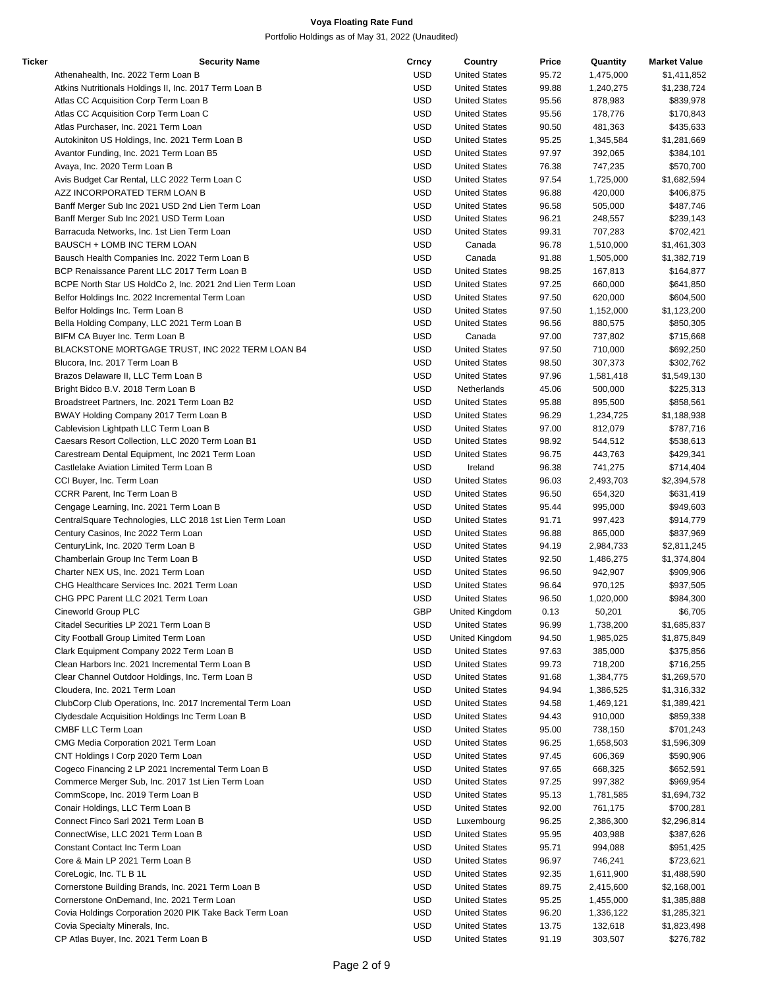| Ticker | <b>Security Name</b>                                      | Crncy      | Country              | Price | Quantity  | <b>Market Value</b> |
|--------|-----------------------------------------------------------|------------|----------------------|-------|-----------|---------------------|
|        | Athenahealth, Inc. 2022 Term Loan B                       | <b>USD</b> | <b>United States</b> | 95.72 | 1,475,000 | \$1,411,852         |
|        | Atkins Nutritionals Holdings II, Inc. 2017 Term Loan B    | <b>USD</b> | <b>United States</b> | 99.88 | 1,240,275 | \$1,238,724         |
|        | Atlas CC Acquisition Corp Term Loan B                     | <b>USD</b> | <b>United States</b> | 95.56 | 878,983   | \$839,978           |
|        | Atlas CC Acquisition Corp Term Loan C                     | <b>USD</b> | <b>United States</b> | 95.56 | 178,776   | \$170,843           |
|        | Atlas Purchaser, Inc. 2021 Term Loan                      | <b>USD</b> | <b>United States</b> | 90.50 | 481,363   | \$435,633           |
|        | Autokiniton US Holdings, Inc. 2021 Term Loan B            | <b>USD</b> | <b>United States</b> | 95.25 | 1,345,584 | \$1,281,669         |
|        | Avantor Funding, Inc. 2021 Term Loan B5                   | <b>USD</b> | <b>United States</b> | 97.97 | 392,065   | \$384,101           |
|        | Avaya, Inc. 2020 Term Loan B                              | <b>USD</b> | <b>United States</b> | 76.38 | 747,235   | \$570,700           |
|        | Avis Budget Car Rental, LLC 2022 Term Loan C              | <b>USD</b> | <b>United States</b> | 97.54 | 1,725,000 | \$1,682,594         |
|        |                                                           | <b>USD</b> | <b>United States</b> |       |           | \$406,875           |
|        | AZZ INCORPORATED TERM LOAN B                              |            |                      | 96.88 | 420,000   |                     |
|        | Banff Merger Sub Inc 2021 USD 2nd Lien Term Loan          | <b>USD</b> | <b>United States</b> | 96.58 | 505,000   | \$487,746           |
|        | Banff Merger Sub Inc 2021 USD Term Loan                   | <b>USD</b> | <b>United States</b> | 96.21 | 248,557   | \$239,143           |
|        | Barracuda Networks, Inc. 1st Lien Term Loan               | <b>USD</b> | <b>United States</b> | 99.31 | 707,283   | \$702,421           |
|        | BAUSCH + LOMB INC TERM LOAN                               | <b>USD</b> | Canada               | 96.78 | 1,510,000 | \$1,461,303         |
|        | Bausch Health Companies Inc. 2022 Term Loan B             | USD        | Canada               | 91.88 | 1,505,000 | \$1,382,719         |
|        | BCP Renaissance Parent LLC 2017 Term Loan B               | <b>USD</b> | <b>United States</b> | 98.25 | 167,813   | \$164,877           |
|        | BCPE North Star US HoldCo 2, Inc. 2021 2nd Lien Term Loan | <b>USD</b> | <b>United States</b> | 97.25 | 660,000   | \$641,850           |
|        | Belfor Holdings Inc. 2022 Incremental Term Loan           | <b>USD</b> | <b>United States</b> | 97.50 | 620,000   | \$604,500           |
|        | Belfor Holdings Inc. Term Loan B                          | <b>USD</b> | <b>United States</b> | 97.50 | 1,152,000 | \$1,123,200         |
|        | Bella Holding Company, LLC 2021 Term Loan B               | <b>USD</b> | <b>United States</b> | 96.56 | 880,575   | \$850,305           |
|        | BIFM CA Buyer Inc. Term Loan B                            | <b>USD</b> | Canada               | 97.00 | 737,802   | \$715,668           |
|        | BLACKSTONE MORTGAGE TRUST, INC 2022 TERM LOAN B4          | <b>USD</b> | <b>United States</b> | 97.50 | 710,000   | \$692,250           |
|        | Blucora, Inc. 2017 Term Loan B                            | <b>USD</b> | <b>United States</b> | 98.50 | 307,373   | \$302,762           |
|        | Brazos Delaware II, LLC Term Loan B                       | <b>USD</b> | <b>United States</b> | 97.96 | 1,581,418 | \$1,549,130         |
|        | Bright Bidco B.V. 2018 Term Loan B                        | <b>USD</b> | Netherlands          | 45.06 | 500,000   | \$225,313           |
|        | Broadstreet Partners, Inc. 2021 Term Loan B2              | <b>USD</b> | <b>United States</b> | 95.88 | 895,500   | \$858,561           |
|        | BWAY Holding Company 2017 Term Loan B                     | <b>USD</b> | <b>United States</b> | 96.29 | 1,234,725 | \$1,188,938         |
|        | Cablevision Lightpath LLC Term Loan B                     | <b>USD</b> | <b>United States</b> | 97.00 | 812,079   | \$787,716           |
|        | Caesars Resort Collection, LLC 2020 Term Loan B1          | <b>USD</b> | <b>United States</b> | 98.92 | 544,512   | \$538,613           |
|        | Carestream Dental Equipment, Inc 2021 Term Loan           | <b>USD</b> | <b>United States</b> | 96.75 | 443,763   | \$429,341           |
|        | Castlelake Aviation Limited Term Loan B                   | <b>USD</b> | Ireland              | 96.38 | 741,275   | \$714,404           |
|        |                                                           | <b>USD</b> | <b>United States</b> | 96.03 | 2,493,703 |                     |
|        | CCI Buyer, Inc. Term Loan                                 | <b>USD</b> |                      |       |           | \$2,394,578         |
|        | CCRR Parent, Inc Term Loan B                              |            | <b>United States</b> | 96.50 | 654,320   | \$631,419           |
|        | Cengage Learning, Inc. 2021 Term Loan B                   | <b>USD</b> | <b>United States</b> | 95.44 | 995,000   | \$949,603           |
|        | CentralSquare Technologies, LLC 2018 1st Lien Term Loan   | USD        | <b>United States</b> | 91.71 | 997,423   | \$914,779           |
|        | Century Casinos, Inc 2022 Term Loan                       | <b>USD</b> | <b>United States</b> | 96.88 | 865,000   | \$837,969           |
|        | CenturyLink, Inc. 2020 Term Loan B                        | <b>USD</b> | <b>United States</b> | 94.19 | 2,984,733 | \$2,811,245         |
|        | Chamberlain Group Inc Term Loan B                         | <b>USD</b> | <b>United States</b> | 92.50 | 1,486,275 | \$1,374,804         |
|        | Charter NEX US, Inc. 2021 Term Loan                       | USD        | <b>United States</b> | 96.50 | 942,907   | \$909,906           |
|        | CHG Healthcare Services Inc. 2021 Term Loan               | <b>USD</b> | <b>United States</b> | 96.64 | 970,125   | \$937,505           |
|        | CHG PPC Parent LLC 2021 Term Loan                         | <b>USD</b> | <b>United States</b> | 96.50 | 1,020,000 | \$984,300           |
|        | Cineworld Group PLC                                       | <b>GBP</b> | United Kingdom       | 0.13  | 50,201    | \$6,705             |
|        | Citadel Securities LP 2021 Term Loan B                    | USD        | <b>United States</b> | 96.99 | 1,738,200 | \$1,685,837         |
|        | City Football Group Limited Term Loan                     | USD        | United Kingdom       | 94.50 | 1,985,025 | \$1,875,849         |
|        | Clark Equipment Company 2022 Term Loan B                  | <b>USD</b> | <b>United States</b> | 97.63 | 385,000   | \$375,856           |
|        | Clean Harbors Inc. 2021 Incremental Term Loan B           | <b>USD</b> | <b>United States</b> | 99.73 | 718,200   | \$716,255           |
|        | Clear Channel Outdoor Holdings, Inc. Term Loan B          | <b>USD</b> | <b>United States</b> | 91.68 | 1,384,775 | \$1,269,570         |
|        | Cloudera, Inc. 2021 Term Loan                             | USD        | <b>United States</b> | 94.94 | 1,386,525 | \$1,316,332         |
|        | ClubCorp Club Operations, Inc. 2017 Incremental Term Loan | USD        | <b>United States</b> | 94.58 | 1,469,121 | \$1,389,421         |
|        | Clydesdale Acquisition Holdings Inc Term Loan B           | <b>USD</b> | <b>United States</b> | 94.43 | 910,000   | \$859,338           |
|        | CMBF LLC Term Loan                                        | USD        | <b>United States</b> | 95.00 | 738,150   | \$701,243           |
|        | CMG Media Corporation 2021 Term Loan                      | <b>USD</b> | <b>United States</b> | 96.25 | 1,658,503 | \$1,596,309         |
|        | CNT Holdings I Corp 2020 Term Loan                        | <b>USD</b> | <b>United States</b> | 97.45 | 606,369   | \$590,906           |
|        | Cogeco Financing 2 LP 2021 Incremental Term Loan B        | <b>USD</b> | <b>United States</b> | 97.65 | 668,325   | \$652,591           |
|        | Commerce Merger Sub, Inc. 2017 1st Lien Term Loan         | USD        | <b>United States</b> | 97.25 | 997,382   | \$969,954           |
|        | CommScope, Inc. 2019 Term Loan B                          | USD        | <b>United States</b> | 95.13 | 1,781,585 | \$1,694,732         |
|        | Conair Holdings, LLC Term Loan B                          | USD        | <b>United States</b> | 92.00 | 761,175   | \$700,281           |
|        | Connect Finco Sarl 2021 Term Loan B                       | <b>USD</b> | Luxembourg           | 96.25 | 2,386,300 | \$2,296,814         |
|        |                                                           |            |                      |       |           |                     |
|        | ConnectWise, LLC 2021 Term Loan B                         | USD        | <b>United States</b> | 95.95 | 403,988   | \$387,626           |
|        | Constant Contact Inc Term Loan                            | <b>USD</b> | <b>United States</b> | 95.71 | 994,088   | \$951,425           |
|        | Core & Main LP 2021 Term Loan B                           | <b>USD</b> | <b>United States</b> | 96.97 | 746,241   | \$723,621           |
|        | CoreLogic, Inc. TL B 1L                                   | <b>USD</b> | <b>United States</b> | 92.35 | 1,611,900 | \$1,488,590         |
|        | Cornerstone Building Brands, Inc. 2021 Term Loan B        | USD        | <b>United States</b> | 89.75 | 2,415,600 | \$2,168,001         |
|        | Cornerstone OnDemand, Inc. 2021 Term Loan                 | USD        | <b>United States</b> | 95.25 | 1,455,000 | \$1,385,888         |
|        | Covia Holdings Corporation 2020 PIK Take Back Term Loan   | USD        | <b>United States</b> | 96.20 | 1,336,122 | \$1,285,321         |
|        | Covia Specialty Minerals, Inc.                            | <b>USD</b> | <b>United States</b> | 13.75 | 132,618   | \$1,823,498         |
|        | CP Atlas Buyer, Inc. 2021 Term Loan B                     | <b>USD</b> | <b>United States</b> | 91.19 | 303,507   | \$276,782           |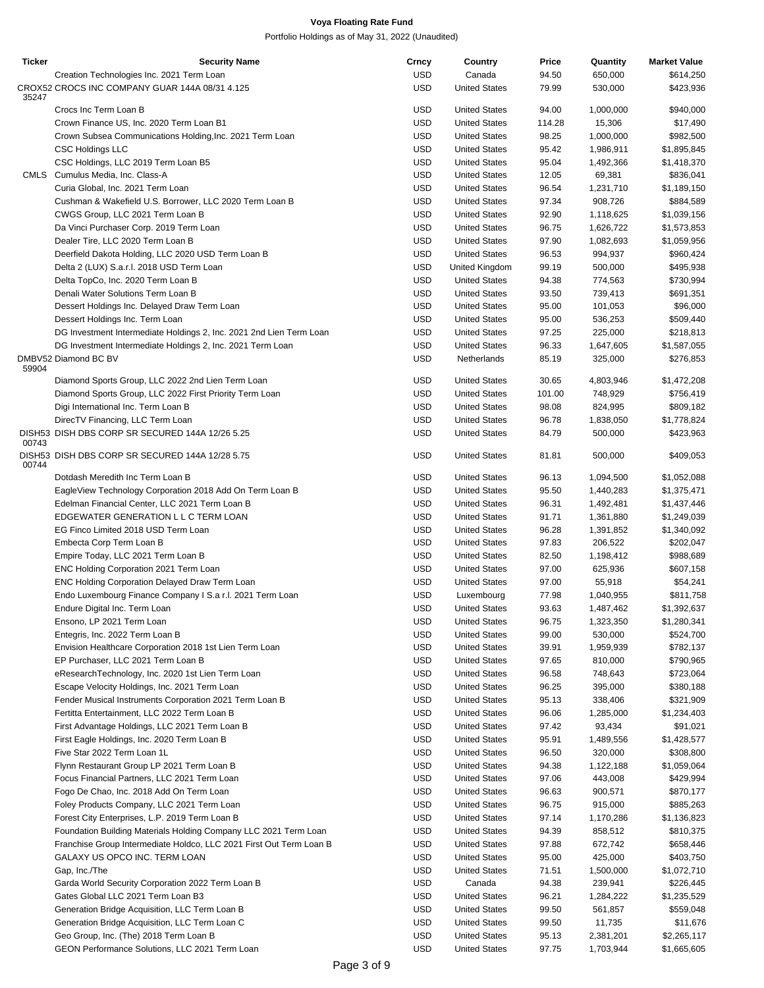| <b>Ticker</b> | <b>Security Name</b>                                                | Crncy      | Country              | Price  | Quantity  | <b>Market Value</b> |
|---------------|---------------------------------------------------------------------|------------|----------------------|--------|-----------|---------------------|
|               | Creation Technologies Inc. 2021 Term Loan                           | <b>USD</b> | Canada               | 94.50  | 650,000   | \$614,250           |
| 35247         | CROX52 CROCS INC COMPANY GUAR 144A 08/31 4.125                      | <b>USD</b> | <b>United States</b> | 79.99  | 530,000   | \$423,936           |
|               | Crocs Inc Term Loan B                                               | <b>USD</b> | <b>United States</b> | 94.00  | 1,000,000 | \$940,000           |
|               | Crown Finance US, Inc. 2020 Term Loan B1                            | <b>USD</b> | <b>United States</b> | 114.28 | 15,306    | \$17,490            |
|               | Crown Subsea Communications Holding, Inc. 2021 Term Loan            | <b>USD</b> | <b>United States</b> | 98.25  | 1,000,000 | \$982,500           |
|               | <b>CSC Holdings LLC</b>                                             | <b>USD</b> | <b>United States</b> | 95.42  | 1,986,911 | \$1,895,845         |
|               | CSC Holdings, LLC 2019 Term Loan B5                                 | <b>USD</b> | <b>United States</b> | 95.04  | 1,492,366 | \$1,418,370         |
|               | CMLS Cumulus Media, Inc. Class-A                                    | <b>USD</b> | <b>United States</b> | 12.05  | 69,381    | \$836,041           |
|               | Curia Global, Inc. 2021 Term Loan                                   | <b>USD</b> | <b>United States</b> | 96.54  | 1,231,710 | \$1,189,150         |
|               | Cushman & Wakefield U.S. Borrower, LLC 2020 Term Loan B             | <b>USD</b> | <b>United States</b> | 97.34  | 908,726   | \$884,589           |
|               | CWGS Group, LLC 2021 Term Loan B                                    | <b>USD</b> | <b>United States</b> | 92.90  | 1,118,625 | \$1,039,156         |
|               | Da Vinci Purchaser Corp. 2019 Term Loan                             | <b>USD</b> | <b>United States</b> | 96.75  | 1,626,722 | \$1,573,853         |
|               | Dealer Tire, LLC 2020 Term Loan B                                   | <b>USD</b> | <b>United States</b> | 97.90  | 1,082,693 | \$1,059,956         |
|               | Deerfield Dakota Holding, LLC 2020 USD Term Loan B                  | <b>USD</b> | <b>United States</b> | 96.53  | 994,937   | \$960,424           |
|               | Delta 2 (LUX) S.a.r.l. 2018 USD Term Loan                           | <b>USD</b> | United Kingdom       | 99.19  | 500,000   | \$495,938           |
|               | Delta TopCo, Inc. 2020 Term Loan B                                  | <b>USD</b> | <b>United States</b> | 94.38  | 774,563   | \$730,994           |
|               | Denali Water Solutions Term Loan B                                  | <b>USD</b> | <b>United States</b> | 93.50  | 739,413   | \$691,351           |
|               | Dessert Holdings Inc. Delayed Draw Term Loan                        | <b>USD</b> | <b>United States</b> | 95.00  | 101,053   | \$96,000            |
|               | Dessert Holdings Inc. Term Loan                                     | <b>USD</b> | <b>United States</b> | 95.00  | 536,253   | \$509,440           |
|               | DG Investment Intermediate Holdings 2, Inc. 2021 2nd Lien Term Loan | <b>USD</b> | <b>United States</b> | 97.25  | 225,000   | \$218,813           |
|               | DG Investment Intermediate Holdings 2, Inc. 2021 Term Loan          | <b>USD</b> | <b>United States</b> | 96.33  | 1,647,605 | \$1,587,055         |
|               | DMBV52 Diamond BC BV                                                | <b>USD</b> | Netherlands          | 85.19  | 325,000   | \$276,853           |
| 59904         |                                                                     |            |                      |        |           |                     |
|               | Diamond Sports Group, LLC 2022 2nd Lien Term Loan                   | <b>USD</b> | <b>United States</b> | 30.65  | 4,803,946 | \$1,472,208         |
|               | Diamond Sports Group, LLC 2022 First Priority Term Loan             | <b>USD</b> | <b>United States</b> | 101.00 | 748,929   | \$756,419           |
|               | Digi International Inc. Term Loan B                                 | <b>USD</b> | <b>United States</b> | 98.08  | 824,995   | \$809,182           |
|               | DirecTV Financing, LLC Term Loan                                    | <b>USD</b> | <b>United States</b> | 96.78  | 1,838,050 | \$1,778,824         |
|               | DISH53 DISH DBS CORP SR SECURED 144A 12/26 5.25                     | <b>USD</b> | <b>United States</b> | 84.79  | 500,000   | \$423,963           |
| 00743         | DISH53 DISH DBS CORP SR SECURED 144A 12/28 5.75                     | <b>USD</b> | <b>United States</b> | 81.81  | 500,000   | \$409,053           |
| 00744         | Dotdash Meredith Inc Term Loan B                                    | <b>USD</b> | <b>United States</b> | 96.13  | 1,094,500 | \$1,052,088         |
|               | EagleView Technology Corporation 2018 Add On Term Loan B            | <b>USD</b> | <b>United States</b> | 95.50  | 1,440,283 | \$1,375,471         |
|               | Edelman Financial Center, LLC 2021 Term Loan B                      | <b>USD</b> | <b>United States</b> | 96.31  | 1,492,481 | \$1,437,446         |
|               | EDGEWATER GENERATION L L C TERM LOAN                                | <b>USD</b> | <b>United States</b> | 91.71  |           |                     |
|               | EG Finco Limited 2018 USD Term Loan                                 | <b>USD</b> | <b>United States</b> |        | 1,361,880 | \$1,249,039         |
|               |                                                                     | <b>USD</b> | <b>United States</b> | 96.28  | 1,391,852 | \$1,340,092         |
|               | Embecta Corp Term Loan B                                            |            |                      | 97.83  | 206,522   | \$202,047           |
|               | Empire Today, LLC 2021 Term Loan B                                  | <b>USD</b> | <b>United States</b> | 82.50  | 1,198,412 | \$988,689           |
|               | ENC Holding Corporation 2021 Term Loan                              | <b>USD</b> | <b>United States</b> | 97.00  | 625,936   | \$607,158           |
|               | ENC Holding Corporation Delayed Draw Term Loan                      | <b>USD</b> | <b>United States</b> | 97.00  | 55,918    | \$54,241            |
|               | Endo Luxembourg Finance Company I S.a r.l. 2021 Term Loan           | <b>USD</b> | Luxembourg           | 77.98  | 1,040,955 | \$811,758           |
|               | Endure Digital Inc. Term Loan                                       | <b>USD</b> | <b>United States</b> | 93.63  | 1,487,462 | \$1,392,637         |
|               | Ensono, LP 2021 Term Loan                                           | <b>USD</b> | <b>United States</b> | 96.75  | 1,323,350 | \$1,280,341         |
|               | Entegris, Inc. 2022 Term Loan B                                     | <b>USD</b> | <b>United States</b> | 99.00  | 530,000   | \$524,700           |
|               | Envision Healthcare Corporation 2018 1st Lien Term Loan             | <b>USD</b> | <b>United States</b> | 39.91  | 1,959,939 | \$782,137           |
|               | EP Purchaser, LLC 2021 Term Loan B                                  | <b>USD</b> | <b>United States</b> | 97.65  | 810,000   | \$790,965           |
|               | eResearchTechnology, Inc. 2020 1st Lien Term Loan                   | <b>USD</b> | <b>United States</b> | 96.58  | 748,643   | \$723,064           |
|               | Escape Velocity Holdings, Inc. 2021 Term Loan                       | USD        | <b>United States</b> | 96.25  | 395,000   | \$380,188           |
|               | Fender Musical Instruments Corporation 2021 Term Loan B             | <b>USD</b> | <b>United States</b> | 95.13  | 338,406   | \$321,909           |
|               | Fertitta Entertainment, LLC 2022 Term Loan B                        | <b>USD</b> | <b>United States</b> | 96.06  | 1,285,000 | \$1,234,403         |
|               | First Advantage Holdings, LLC 2021 Term Loan B                      | <b>USD</b> | <b>United States</b> | 97.42  | 93,434    | \$91,021            |
|               | First Eagle Holdings, Inc. 2020 Term Loan B                         | USD        | <b>United States</b> | 95.91  | 1,489,556 | \$1,428,577         |
|               | Five Star 2022 Term Loan 1L                                         | <b>USD</b> | <b>United States</b> | 96.50  | 320,000   | \$308,800           |
|               | Flynn Restaurant Group LP 2021 Term Loan B                          | <b>USD</b> | <b>United States</b> | 94.38  | 1,122,188 | \$1,059,064         |
|               | Focus Financial Partners, LLC 2021 Term Loan                        | <b>USD</b> | <b>United States</b> | 97.06  | 443,008   | \$429,994           |
|               | Fogo De Chao, Inc. 2018 Add On Term Loan                            | USD        | <b>United States</b> | 96.63  | 900,571   | \$870,177           |
|               | Foley Products Company, LLC 2021 Term Loan                          | <b>USD</b> | <b>United States</b> | 96.75  | 915,000   | \$885,263           |
|               | Forest City Enterprises, L.P. 2019 Term Loan B                      | <b>USD</b> | <b>United States</b> | 97.14  | 1,170,286 | \$1,136,823         |
|               | Foundation Building Materials Holding Company LLC 2021 Term Loan    | <b>USD</b> | <b>United States</b> | 94.39  | 858,512   | \$810,375           |
|               | Franchise Group Intermediate Holdco, LLC 2021 First Out Term Loan B | USD        | <b>United States</b> | 97.88  | 672,742   | \$658,446           |
|               | GALAXY US OPCO INC. TERM LOAN                                       | <b>USD</b> | <b>United States</b> | 95.00  | 425,000   | \$403,750           |
|               | Gap, Inc./The                                                       | <b>USD</b> | <b>United States</b> | 71.51  | 1,500,000 | \$1,072,710         |
|               | Garda World Security Corporation 2022 Term Loan B                   | <b>USD</b> | Canada               | 94.38  | 239,941   | \$226,445           |
|               | Gates Global LLC 2021 Term Loan B3                                  | USD        | <b>United States</b> | 96.21  | 1,284,222 | \$1,235,529         |
|               | Generation Bridge Acquisition, LLC Term Loan B                      | <b>USD</b> | <b>United States</b> | 99.50  | 561,857   | \$559,048           |
|               | Generation Bridge Acquisition, LLC Term Loan C                      | <b>USD</b> | <b>United States</b> | 99.50  | 11,735    | \$11,676            |
|               | Geo Group, Inc. (The) 2018 Term Loan B                              | <b>USD</b> | <b>United States</b> | 95.13  | 2,381,201 | \$2,265,117         |
|               | GEON Performance Solutions, LLC 2021 Term Loan                      | <b>USD</b> | <b>United States</b> | 97.75  | 1,703,944 | \$1,665,605         |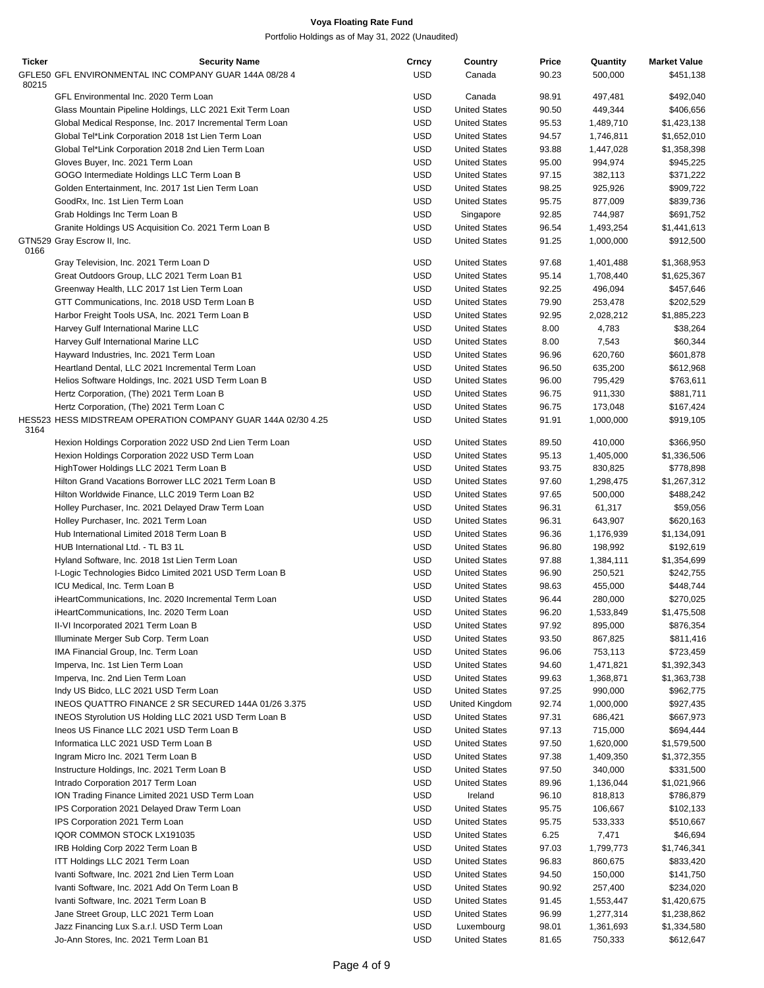| Ticker | <b>Security Name</b>                                         | Crncy      | Country              | Price | Quantity  | <b>Market Value</b> |
|--------|--------------------------------------------------------------|------------|----------------------|-------|-----------|---------------------|
|        | GFLE50 GFL ENVIRONMENTAL INC COMPANY GUAR 144A 08/28 4       | <b>USD</b> | Canada               | 90.23 | 500,000   | \$451,138           |
| 80215  |                                                              |            |                      |       |           |                     |
|        | GFL Environmental Inc. 2020 Term Loan                        | <b>USD</b> | Canada               | 98.91 | 497,481   | \$492,040           |
|        | Glass Mountain Pipeline Holdings, LLC 2021 Exit Term Loan    | <b>USD</b> | <b>United States</b> | 90.50 | 449,344   | \$406,656           |
|        | Global Medical Response, Inc. 2017 Incremental Term Loan     | <b>USD</b> | <b>United States</b> | 95.53 | 1,489,710 | \$1,423,138         |
|        | Global Tel*Link Corporation 2018 1st Lien Term Loan          | <b>USD</b> | <b>United States</b> | 94.57 | 1,746,811 | \$1,652,010         |
|        | Global Tel*Link Corporation 2018 2nd Lien Term Loan          | <b>USD</b> | <b>United States</b> | 93.88 | 1,447,028 | \$1,358,398         |
|        | Gloves Buyer, Inc. 2021 Term Loan                            | <b>USD</b> | <b>United States</b> | 95.00 | 994,974   | \$945,225           |
|        | GOGO Intermediate Holdings LLC Term Loan B                   | <b>USD</b> | <b>United States</b> | 97.15 | 382,113   | \$371,222           |
|        | Golden Entertainment, Inc. 2017 1st Lien Term Loan           | <b>USD</b> | <b>United States</b> | 98.25 | 925,926   | \$909,722           |
|        | GoodRx, Inc. 1st Lien Term Loan                              | <b>USD</b> | <b>United States</b> | 95.75 | 877,009   | \$839,736           |
|        |                                                              |            |                      |       |           |                     |
|        | Grab Holdings Inc Term Loan B                                | <b>USD</b> | Singapore            | 92.85 | 744,987   | \$691,752           |
|        | Granite Holdings US Acquisition Co. 2021 Term Loan B         | <b>USD</b> | <b>United States</b> | 96.54 | 1,493,254 | \$1,441,613         |
| 0166   | GTN529 Gray Escrow II, Inc.                                  | <b>USD</b> | <b>United States</b> | 91.25 | 1,000,000 | \$912,500           |
|        | Gray Television, Inc. 2021 Term Loan D                       | <b>USD</b> | <b>United States</b> | 97.68 | 1,401,488 | \$1,368,953         |
|        |                                                              | <b>USD</b> | <b>United States</b> | 95.14 | 1,708,440 |                     |
|        | Great Outdoors Group, LLC 2021 Term Loan B1                  |            |                      |       |           | \$1,625,367         |
|        | Greenway Health, LLC 2017 1st Lien Term Loan                 | <b>USD</b> | <b>United States</b> | 92.25 | 496,094   | \$457,646           |
|        | GTT Communications, Inc. 2018 USD Term Loan B                | <b>USD</b> | <b>United States</b> | 79.90 | 253,478   | \$202,529           |
|        | Harbor Freight Tools USA, Inc. 2021 Term Loan B              | <b>USD</b> | <b>United States</b> | 92.95 | 2,028,212 | \$1,885,223         |
|        | Harvey Gulf International Marine LLC                         | <b>USD</b> | <b>United States</b> | 8.00  | 4,783     | \$38,264            |
|        | Harvey Gulf International Marine LLC                         | <b>USD</b> | <b>United States</b> | 8.00  | 7,543     | \$60,344            |
|        | Hayward Industries, Inc. 2021 Term Loan                      | <b>USD</b> | <b>United States</b> | 96.96 | 620,760   | \$601,878           |
|        | Heartland Dental, LLC 2021 Incremental Term Loan             | <b>USD</b> | <b>United States</b> | 96.50 | 635,200   | \$612,968           |
|        | Helios Software Holdings, Inc. 2021 USD Term Loan B          | <b>USD</b> | <b>United States</b> | 96.00 | 795,429   | \$763,611           |
|        | Hertz Corporation, (The) 2021 Term Loan B                    | <b>USD</b> | <b>United States</b> | 96.75 | 911,330   | \$881,711           |
|        | Hertz Corporation, (The) 2021 Term Loan C                    | <b>USD</b> | <b>United States</b> | 96.75 | 173,048   | \$167,424           |
|        | HES523 HESS MIDSTREAM OPERATION COMPANY GUAR 144A 02/30 4.25 | <b>USD</b> | <b>United States</b> | 91.91 | 1,000,000 | \$919,105           |
| 3164   |                                                              |            |                      |       |           |                     |
|        | Hexion Holdings Corporation 2022 USD 2nd Lien Term Loan      | <b>USD</b> | <b>United States</b> | 89.50 | 410,000   | \$366,950           |
|        | Hexion Holdings Corporation 2022 USD Term Loan               | <b>USD</b> | <b>United States</b> | 95.13 | 1,405,000 | \$1,336,506         |
|        | HighTower Holdings LLC 2021 Term Loan B                      | <b>USD</b> | <b>United States</b> | 93.75 | 830,825   | \$778,898           |
|        | Hilton Grand Vacations Borrower LLC 2021 Term Loan B         | <b>USD</b> | <b>United States</b> | 97.60 | 1,298,475 | \$1,267,312         |
|        | Hilton Worldwide Finance, LLC 2019 Term Loan B2              | <b>USD</b> | <b>United States</b> | 97.65 | 500,000   | \$488,242           |
|        |                                                              |            |                      |       |           |                     |
|        | Holley Purchaser, Inc. 2021 Delayed Draw Term Loan           | <b>USD</b> | <b>United States</b> | 96.31 | 61,317    | \$59,056            |
|        | Holley Purchaser, Inc. 2021 Term Loan                        | <b>USD</b> | <b>United States</b> | 96.31 | 643,907   | \$620,163           |
|        | Hub International Limited 2018 Term Loan B                   | <b>USD</b> | <b>United States</b> | 96.36 | 1,176,939 | \$1,134,091         |
|        | HUB International Ltd. - TL B3 1L                            | <b>USD</b> | <b>United States</b> | 96.80 | 198,992   | \$192,619           |
|        | Hyland Software, Inc. 2018 1st Lien Term Loan                | <b>USD</b> | <b>United States</b> | 97.88 | 1,384,111 | \$1,354,699         |
|        | I-Logic Technologies Bidco Limited 2021 USD Term Loan B      | <b>USD</b> | <b>United States</b> | 96.90 | 250,521   | \$242,755           |
|        | ICU Medical, Inc. Term Loan B                                | <b>USD</b> | <b>United States</b> | 98.63 | 455,000   | \$448,744           |
|        | iHeartCommunications, Inc. 2020 Incremental Term Loan        | <b>USD</b> | <b>United States</b> | 96.44 | 280,000   | \$270,025           |
|        | iHeartCommunications, Inc. 2020 Term Loan                    | <b>USD</b> | <b>United States</b> | 96.20 | 1,533,849 | \$1,475,508         |
|        | II-VI Incorporated 2021 Term Loan B                          | <b>USD</b> | <b>United States</b> | 97.92 | 895,000   | \$876,354           |
|        | Illuminate Merger Sub Corp. Term Loan                        | <b>USD</b> | <b>United States</b> | 93.50 | 867,825   | \$811,416           |
|        | IMA Financial Group, Inc. Term Loan                          | <b>USD</b> | <b>United States</b> | 96.06 | 753,113   | \$723,459           |
|        | Imperva, Inc. 1st Lien Term Loan                             | <b>USD</b> | <b>United States</b> | 94.60 | 1,471,821 | \$1,392,343         |
|        | Imperva, Inc. 2nd Lien Term Loan                             | <b>USD</b> | <b>United States</b> | 99.63 | 1,368,871 | \$1,363,738         |
|        |                                                              |            |                      |       |           |                     |
|        | Indy US Bidco, LLC 2021 USD Term Loan                        | <b>USD</b> | <b>United States</b> | 97.25 | 990,000   | \$962,775           |
|        | INEOS QUATTRO FINANCE 2 SR SECURED 144A 01/26 3.375          | <b>USD</b> | United Kingdom       | 92.74 | 1,000,000 | \$927,435           |
|        | INEOS Styrolution US Holding LLC 2021 USD Term Loan B        | <b>USD</b> | <b>United States</b> | 97.31 | 686,421   | \$667,973           |
|        | Ineos US Finance LLC 2021 USD Term Loan B                    | <b>USD</b> | <b>United States</b> | 97.13 | 715,000   | \$694,444           |
|        | Informatica LLC 2021 USD Term Loan B                         | <b>USD</b> | <b>United States</b> | 97.50 | 1,620,000 | \$1,579,500         |
|        | Ingram Micro Inc. 2021 Term Loan B                           | <b>USD</b> | <b>United States</b> | 97.38 | 1,409,350 | \$1,372,355         |
|        | Instructure Holdings, Inc. 2021 Term Loan B                  | USD        | <b>United States</b> | 97.50 | 340,000   | \$331,500           |
|        | Intrado Corporation 2017 Term Loan                           | <b>USD</b> | <b>United States</b> | 89.96 | 1,136,044 | \$1,021,966         |
|        | ION Trading Finance Limited 2021 USD Term Loan               | <b>USD</b> | Ireland              | 96.10 | 818,813   | \$786,879           |
|        | IPS Corporation 2021 Delayed Draw Term Loan                  | <b>USD</b> | <b>United States</b> | 95.75 | 106,667   | \$102,133           |
|        | IPS Corporation 2021 Term Loan                               | USD        | <b>United States</b> | 95.75 | 533,333   | \$510,667           |
|        | IQOR COMMON STOCK LX191035                                   | <b>USD</b> | <b>United States</b> | 6.25  | 7,471     | \$46,694            |
|        |                                                              | <b>USD</b> | <b>United States</b> | 97.03 | 1,799,773 |                     |
|        | IRB Holding Corp 2022 Term Loan B                            |            |                      |       |           | \$1,746,341         |
|        | ITT Holdings LLC 2021 Term Loan                              | <b>USD</b> | <b>United States</b> | 96.83 | 860,675   | \$833,420           |
|        | Ivanti Software, Inc. 2021 2nd Lien Term Loan                | <b>USD</b> | <b>United States</b> | 94.50 | 150,000   | \$141,750           |
|        | Ivanti Software, Inc. 2021 Add On Term Loan B                | USD        | <b>United States</b> | 90.92 | 257,400   | \$234,020           |
|        | Ivanti Software, Inc. 2021 Term Loan B                       | <b>USD</b> | <b>United States</b> | 91.45 | 1,553,447 | \$1,420,675         |
|        | Jane Street Group, LLC 2021 Term Loan                        | <b>USD</b> | <b>United States</b> | 96.99 | 1,277,314 | \$1,238,862         |
|        | Jazz Financing Lux S.a.r.I. USD Term Loan                    | <b>USD</b> | Luxembourg           | 98.01 | 1,361,693 | \$1,334,580         |
|        | Jo-Ann Stores, Inc. 2021 Term Loan B1                        | <b>USD</b> | <b>United States</b> | 81.65 | 750,333   | \$612,647           |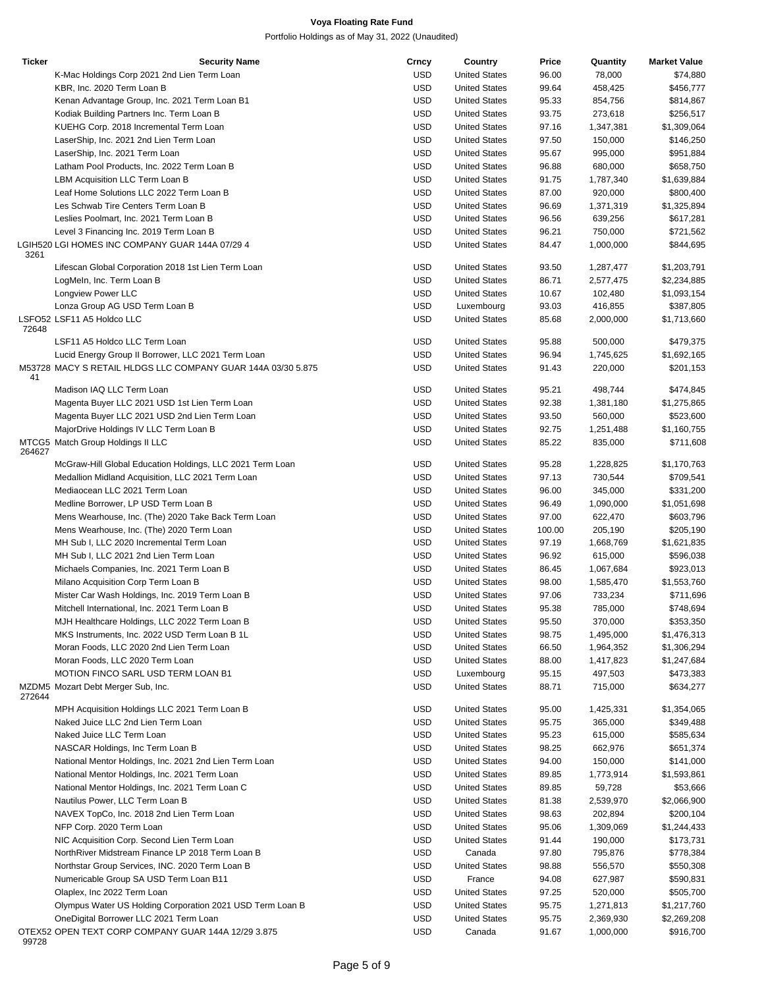| <b>Ticker</b> | <b>Security Name</b>                                         | Crncy      | Country              | Price  | Quantity  | <b>Market Value</b> |
|---------------|--------------------------------------------------------------|------------|----------------------|--------|-----------|---------------------|
|               | K-Mac Holdings Corp 2021 2nd Lien Term Loan                  | <b>USD</b> | <b>United States</b> | 96.00  | 78,000    | \$74,880            |
|               | KBR, Inc. 2020 Term Loan B                                   | <b>USD</b> | <b>United States</b> | 99.64  | 458,425   | \$456,777           |
|               | Kenan Advantage Group, Inc. 2021 Term Loan B1                | <b>USD</b> | <b>United States</b> | 95.33  | 854,756   | \$814,867           |
|               | Kodiak Building Partners Inc. Term Loan B                    | <b>USD</b> | <b>United States</b> | 93.75  | 273,618   | \$256,517           |
|               | KUEHG Corp. 2018 Incremental Term Loan                       | <b>USD</b> |                      |        |           |                     |
|               |                                                              |            | <b>United States</b> | 97.16  | 1,347,381 | \$1,309,064         |
|               | LaserShip, Inc. 2021 2nd Lien Term Loan                      | <b>USD</b> | <b>United States</b> | 97.50  | 150,000   | \$146,250           |
|               | LaserShip, Inc. 2021 Term Loan                               | <b>USD</b> | <b>United States</b> | 95.67  | 995,000   | \$951,884           |
|               | Latham Pool Products, Inc. 2022 Term Loan B                  | <b>USD</b> | <b>United States</b> | 96.88  | 680,000   | \$658,750           |
|               | LBM Acquisition LLC Term Loan B                              | <b>USD</b> | <b>United States</b> | 91.75  | 1,787,340 | \$1,639,884         |
|               | Leaf Home Solutions LLC 2022 Term Loan B                     | <b>USD</b> | <b>United States</b> | 87.00  | 920,000   | \$800,400           |
|               | Les Schwab Tire Centers Term Loan B                          | <b>USD</b> | <b>United States</b> | 96.69  | 1,371,319 | \$1,325,894         |
|               | Leslies Poolmart, Inc. 2021 Term Loan B                      | <b>USD</b> | <b>United States</b> | 96.56  | 639,256   | \$617,281           |
|               | Level 3 Financing Inc. 2019 Term Loan B                      | <b>USD</b> | <b>United States</b> | 96.21  | 750,000   | \$721,562           |
|               |                                                              |            |                      |        |           |                     |
| 3261          | LGIH520 LGI HOMES INC COMPANY GUAR 144A 07/29 4              | <b>USD</b> | <b>United States</b> | 84.47  | 1,000,000 | \$844,695           |
|               | Lifescan Global Corporation 2018 1st Lien Term Loan          | <b>USD</b> | <b>United States</b> | 93.50  | 1,287,477 | \$1,203,791         |
|               |                                                              |            |                      |        |           |                     |
|               | LogMeln, Inc. Term Loan B                                    | <b>USD</b> | <b>United States</b> | 86.71  | 2,577,475 | \$2,234,885         |
|               | Longview Power LLC                                           | <b>USD</b> | <b>United States</b> | 10.67  | 102,480   | \$1,093,154         |
|               | Lonza Group AG USD Term Loan B                               | <b>USD</b> | Luxembourg           | 93.03  | 416,855   | \$387,805           |
|               | LSFO52 LSF11 A5 Holdco LLC                                   | <b>USD</b> | <b>United States</b> | 85.68  | 2,000,000 | \$1,713,660         |
| 72648         |                                                              |            |                      |        |           |                     |
|               | LSF11 A5 Holdco LLC Term Loan                                | <b>USD</b> | <b>United States</b> | 95.88  | 500,000   | \$479,375           |
|               | Lucid Energy Group II Borrower, LLC 2021 Term Loan           | <b>USD</b> | <b>United States</b> | 96.94  | 1,745,625 | \$1,692,165         |
|               | M53728 MACY S RETAIL HLDGS LLC COMPANY GUAR 144A 03/30 5.875 | <b>USD</b> | <b>United States</b> | 91.43  | 220,000   | \$201,153           |
| 41            |                                                              |            |                      |        |           |                     |
|               | Madison IAQ LLC Term Loan                                    | <b>USD</b> | <b>United States</b> | 95.21  | 498,744   | \$474,845           |
|               | Magenta Buyer LLC 2021 USD 1st Lien Term Loan                | <b>USD</b> | <b>United States</b> | 92.38  | 1,381,180 | \$1,275,865         |
|               | Magenta Buyer LLC 2021 USD 2nd Lien Term Loan                | <b>USD</b> | <b>United States</b> | 93.50  | 560,000   | \$523,600           |
|               | MajorDrive Holdings IV LLC Term Loan B                       | <b>USD</b> | <b>United States</b> | 92.75  | 1,251,488 | \$1,160,755         |
|               | MTCG5 Match Group Holdings II LLC                            | <b>USD</b> | <b>United States</b> | 85.22  | 835,000   | \$711,608           |
| 264627        |                                                              |            |                      |        |           |                     |
|               | McGraw-Hill Global Education Holdings, LLC 2021 Term Loan    | <b>USD</b> | <b>United States</b> | 95.28  | 1,228,825 | \$1,170,763         |
|               |                                                              | <b>USD</b> | <b>United States</b> |        |           |                     |
|               | Medallion Midland Acquisition, LLC 2021 Term Loan            |            |                      | 97.13  | 730,544   | \$709,541           |
|               | Mediaocean LLC 2021 Term Loan                                | <b>USD</b> | <b>United States</b> | 96.00  | 345,000   | \$331,200           |
|               | Medline Borrower, LP USD Term Loan B                         | <b>USD</b> | <b>United States</b> | 96.49  | 1,090,000 | \$1,051,698         |
|               | Mens Wearhouse, Inc. (The) 2020 Take Back Term Loan          | <b>USD</b> | <b>United States</b> | 97.00  | 622,470   | \$603,796           |
|               | Mens Wearhouse, Inc. (The) 2020 Term Loan                    | <b>USD</b> | <b>United States</b> | 100.00 | 205,190   | \$205,190           |
|               | MH Sub I, LLC 2020 Incremental Term Loan                     | <b>USD</b> | <b>United States</b> | 97.19  | 1,668,769 | \$1,621,835         |
|               | MH Sub I, LLC 2021 2nd Lien Term Loan                        | <b>USD</b> | <b>United States</b> | 96.92  | 615,000   | \$596,038           |
|               | Michaels Companies, Inc. 2021 Term Loan B                    | <b>USD</b> | <b>United States</b> | 86.45  | 1,067,684 | \$923,013           |
|               | Milano Acquisition Corp Term Loan B                          | <b>USD</b> | <b>United States</b> | 98.00  | 1,585,470 | \$1,553,760         |
|               |                                                              |            |                      |        |           |                     |
|               | Mister Car Wash Holdings, Inc. 2019 Term Loan B              | <b>USD</b> | <b>United States</b> | 97.06  | 733,234   | \$711,696           |
|               | Mitchell International, Inc. 2021 Term Loan B                | <b>USD</b> | <b>United States</b> | 95.38  | 785,000   | \$748,694           |
|               | MJH Healthcare Holdings, LLC 2022 Term Loan B                | USD        | <b>United States</b> | 95.50  | 370,000   | \$353,350           |
|               | MKS Instruments, Inc. 2022 USD Term Loan B 1L                | USD        | <b>United States</b> | 98.75  | 1,495,000 | \$1,476,313         |
|               | Moran Foods, LLC 2020 2nd Lien Term Loan                     | USD        | <b>United States</b> | 66.50  | 1,964,352 | \$1,306,294         |
|               | Moran Foods, LLC 2020 Term Loan                              | <b>USD</b> | <b>United States</b> | 88.00  | 1,417,823 | \$1,247,684         |
|               | <b>MOTION FINCO SARL USD TERM LOAN B1</b>                    | <b>USD</b> | Luxembourg           | 95.15  | 497,503   | \$473,383           |
|               | MZDM5 Mozart Debt Merger Sub, Inc.                           | USD        | <b>United States</b> | 88.71  | 715,000   | \$634,277           |
| 272644        |                                                              |            |                      |        |           |                     |
|               | MPH Acquisition Holdings LLC 2021 Term Loan B                | USD        | <b>United States</b> | 95.00  | 1,425,331 | \$1,354,065         |
|               | Naked Juice LLC 2nd Lien Term Loan                           | <b>USD</b> | <b>United States</b> | 95.75  | 365,000   | \$349,488           |
|               | Naked Juice LLC Term Loan                                    | USD        | <b>United States</b> |        | 615,000   | \$585,634           |
|               |                                                              |            |                      | 95.23  |           |                     |
|               | NASCAR Holdings, Inc Term Loan B                             | USD        | <b>United States</b> | 98.25  | 662,976   | \$651,374           |
|               | National Mentor Holdings, Inc. 2021 2nd Lien Term Loan       | <b>USD</b> | <b>United States</b> | 94.00  | 150,000   | \$141,000           |
|               | National Mentor Holdings, Inc. 2021 Term Loan                | <b>USD</b> | <b>United States</b> | 89.85  | 1,773,914 | \$1,593,861         |
|               | National Mentor Holdings, Inc. 2021 Term Loan C              | USD        | <b>United States</b> | 89.85  | 59,728    | \$53,666            |
|               | Nautilus Power, LLC Term Loan B                              | <b>USD</b> | <b>United States</b> | 81.38  | 2,539,970 | \$2,066,900         |
|               | NAVEX TopCo, Inc. 2018 2nd Lien Term Loan                    | USD        | <b>United States</b> | 98.63  | 202,894   | \$200,104           |
|               | NFP Corp. 2020 Term Loan                                     | <b>USD</b> | <b>United States</b> | 95.06  | 1,309,069 | \$1,244,433         |
|               |                                                              |            |                      |        |           |                     |
|               | NIC Acquisition Corp. Second Lien Term Loan                  | USD        | <b>United States</b> | 91.44  | 190,000   | \$173,731           |
|               | NorthRiver Midstream Finance LP 2018 Term Loan B             | USD        | Canada               | 97.80  | 795,876   | \$778,384           |
|               | Northstar Group Services, INC. 2020 Term Loan B              | <b>USD</b> | <b>United States</b> | 98.88  | 556,570   | \$550,308           |
|               | Numericable Group SA USD Term Loan B11                       | <b>USD</b> | France               | 94.08  | 627,987   | \$590,831           |
|               | Olaplex, Inc 2022 Term Loan                                  | USD        | <b>United States</b> | 97.25  | 520,000   | \$505,700           |
|               | Olympus Water US Holding Corporation 2021 USD Term Loan B    | <b>USD</b> | <b>United States</b> | 95.75  | 1,271,813 | \$1,217,760         |
|               | OneDigital Borrower LLC 2021 Term Loan                       | <b>USD</b> | <b>United States</b> | 95.75  | 2,369,930 | \$2,269,208         |
|               | OTEX52 OPEN TEXT CORP COMPANY GUAR 144A 12/29 3.875          | <b>USD</b> | Canada               | 91.67  | 1,000,000 | \$916,700           |
| 99728         |                                                              |            |                      |        |           |                     |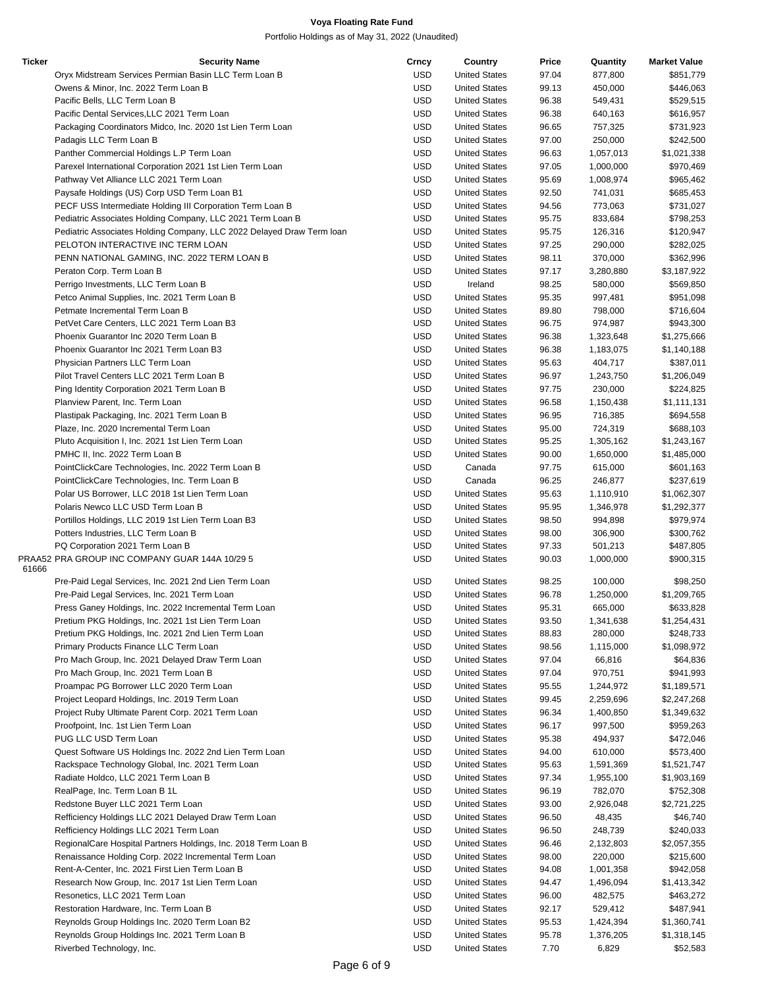| <b>Ticker</b> | <b>Security Name</b>                                                  | Crncy      | Country              | Price | Quantity  | <b>Market Value</b> |
|---------------|-----------------------------------------------------------------------|------------|----------------------|-------|-----------|---------------------|
|               | Oryx Midstream Services Permian Basin LLC Term Loan B                 | USD        | <b>United States</b> | 97.04 | 877,800   | \$851,779           |
|               | Owens & Minor, Inc. 2022 Term Loan B                                  | <b>USD</b> | <b>United States</b> | 99.13 | 450,000   | \$446,063           |
|               | Pacific Bells, LLC Term Loan B                                        | <b>USD</b> | <b>United States</b> | 96.38 | 549,431   | \$529,515           |
|               | Pacific Dental Services, LLC 2021 Term Loan                           | <b>USD</b> | <b>United States</b> | 96.38 | 640,163   | \$616,957           |
|               | Packaging Coordinators Midco, Inc. 2020 1st Lien Term Loan            | <b>USD</b> | <b>United States</b> | 96.65 | 757,325   | \$731,923           |
|               | Padagis LLC Term Loan B                                               | <b>USD</b> | <b>United States</b> | 97.00 | 250,000   | \$242,500           |
|               | Panther Commercial Holdings L.P Term Loan                             | <b>USD</b> | <b>United States</b> | 96.63 | 1,057,013 | \$1,021,338         |
|               | Parexel International Corporation 2021 1st Lien Term Loan             | <b>USD</b> | <b>United States</b> | 97.05 | 1,000,000 | \$970,469           |
|               | Pathway Vet Alliance LLC 2021 Term Loan                               | <b>USD</b> | <b>United States</b> | 95.69 | 1,008,974 | \$965,462           |
|               | Paysafe Holdings (US) Corp USD Term Loan B1                           | <b>USD</b> | <b>United States</b> | 92.50 | 741,031   | \$685,453           |
|               | PECF USS Intermediate Holding III Corporation Term Loan B             | <b>USD</b> | <b>United States</b> | 94.56 | 773,063   | \$731,027           |
|               | Pediatric Associates Holding Company, LLC 2021 Term Loan B            | <b>USD</b> | <b>United States</b> | 95.75 | 833,684   | \$798,253           |
|               |                                                                       |            | <b>United States</b> |       |           |                     |
|               | Pediatric Associates Holding Company, LLC 2022 Delayed Draw Term loan | USD        |                      | 95.75 | 126,316   | \$120,947           |
|               | PELOTON INTERACTIVE INC TERM LOAN                                     | <b>USD</b> | <b>United States</b> | 97.25 | 290,000   | \$282,025           |
|               | PENN NATIONAL GAMING, INC. 2022 TERM LOAN B                           | <b>USD</b> | <b>United States</b> | 98.11 | 370,000   | \$362,996           |
|               | Peraton Corp. Term Loan B                                             | <b>USD</b> | <b>United States</b> | 97.17 | 3,280,880 | \$3,187,922         |
|               | Perrigo Investments, LLC Term Loan B                                  | <b>USD</b> | Ireland              | 98.25 | 580,000   | \$569,850           |
|               | Petco Animal Supplies, Inc. 2021 Term Loan B                          | <b>USD</b> | <b>United States</b> | 95.35 | 997,481   | \$951,098           |
|               | Petmate Incremental Term Loan B                                       | USD        | <b>United States</b> | 89.80 | 798,000   | \$716,604           |
|               | PetVet Care Centers, LLC 2021 Term Loan B3                            | <b>USD</b> | <b>United States</b> | 96.75 | 974,987   | \$943,300           |
|               | Phoenix Guarantor Inc 2020 Term Loan B                                | <b>USD</b> | <b>United States</b> | 96.38 | 1,323,648 | \$1,275,666         |
|               | Phoenix Guarantor Inc 2021 Term Loan B3                               | <b>USD</b> | <b>United States</b> | 96.38 | 1,183,075 | \$1,140,188         |
|               | Physician Partners LLC Term Loan                                      | <b>USD</b> | <b>United States</b> | 95.63 | 404,717   | \$387,011           |
|               | Pilot Travel Centers LLC 2021 Term Loan B                             | <b>USD</b> | <b>United States</b> | 96.97 | 1,243,750 | \$1,206,049         |
|               | Ping Identity Corporation 2021 Term Loan B                            | <b>USD</b> | <b>United States</b> | 97.75 | 230,000   | \$224,825           |
|               | Planview Parent, Inc. Term Loan                                       | <b>USD</b> | <b>United States</b> | 96.58 | 1,150,438 | \$1,111,131         |
|               | Plastipak Packaging, Inc. 2021 Term Loan B                            | <b>USD</b> | <b>United States</b> | 96.95 | 716,385   | \$694,558           |
|               | Plaze, Inc. 2020 Incremental Term Loan                                | <b>USD</b> | <b>United States</b> | 95.00 | 724,319   | \$688,103           |
|               | Pluto Acquisition I, Inc. 2021 1st Lien Term Loan                     | USD        | <b>United States</b> | 95.25 | 1,305,162 | \$1,243,167         |
|               | PMHC II, Inc. 2022 Term Loan B                                        | <b>USD</b> | <b>United States</b> | 90.00 | 1,650,000 | \$1,485,000         |
|               | PointClickCare Technologies, Inc. 2022 Term Loan B                    | <b>USD</b> | Canada               | 97.75 | 615,000   | \$601,163           |
|               | PointClickCare Technologies, Inc. Term Loan B                         | <b>USD</b> | Canada               | 96.25 | 246,877   | \$237,619           |
|               | Polar US Borrower, LLC 2018 1st Lien Term Loan                        | USD        | <b>United States</b> | 95.63 | 1,110,910 | \$1,062,307         |
|               | Polaris Newco LLC USD Term Loan B                                     | <b>USD</b> | <b>United States</b> | 95.95 | 1,346,978 | \$1,292,377         |
|               | Portillos Holdings, LLC 2019 1st Lien Term Loan B3                    | USD        | <b>United States</b> | 98.50 | 994,898   | \$979,974           |
|               | Potters Industries, LLC Term Loan B                                   | <b>USD</b> | <b>United States</b> | 98.00 | 306,900   | \$300,762           |
|               | PQ Corporation 2021 Term Loan B                                       | <b>USD</b> |                      |       |           |                     |
|               | PRAA52 PRA GROUP INC COMPANY GUAR 144A 10/29 5                        |            | <b>United States</b> | 97.33 | 501,213   | \$487,805           |
| 61666         |                                                                       | <b>USD</b> | <b>United States</b> | 90.03 | 1,000,000 | \$900,315           |
|               | Pre-Paid Legal Services, Inc. 2021 2nd Lien Term Loan                 | USD        | <b>United States</b> | 98.25 | 100,000   | \$98,250            |
|               | Pre-Paid Legal Services, Inc. 2021 Term Loan                          | <b>USD</b> | <b>United States</b> | 96.78 | 1,250,000 | \$1,209,765         |
|               | Press Ganey Holdings, Inc. 2022 Incremental Term Loan                 | <b>USD</b> | <b>United States</b> | 95.31 | 665,000   | \$633,828           |
|               | Pretium PKG Holdings, Inc. 2021 1st Lien Term Loan                    | USD        | <b>United States</b> | 93.50 | 1,341,638 | \$1,254,431         |
|               | Pretium PKG Holdings, Inc. 2021 2nd Lien Term Loan                    | <b>USD</b> | <b>United States</b> | 88.83 | 280,000   | \$248,733           |
|               | Primary Products Finance LLC Term Loan                                | USD        | <b>United States</b> | 98.56 | 1,115,000 | \$1,098,972         |
|               | Pro Mach Group, Inc. 2021 Delayed Draw Term Loan                      |            | <b>United States</b> |       |           |                     |
|               |                                                                       | <b>USD</b> |                      | 97.04 | 66,816    | \$64,836            |
|               | Pro Mach Group, Inc. 2021 Term Loan B                                 | USD        | <b>United States</b> | 97.04 | 970,751   | \$941,993           |
|               | Proampac PG Borrower LLC 2020 Term Loan                               | USD        | <b>United States</b> | 95.55 | 1,244,972 | \$1,189,571         |
|               | Project Leopard Holdings, Inc. 2019 Term Loan                         | USD        | <b>United States</b> | 99.45 | 2,259,696 | \$2,247,268         |
|               | Project Ruby Ultimate Parent Corp. 2021 Term Loan                     | <b>USD</b> | <b>United States</b> | 96.34 | 1,400,850 | \$1,349,632         |
|               | Proofpoint, Inc. 1st Lien Term Loan                                   | USD        | <b>United States</b> | 96.17 | 997,500   | \$959,263           |
|               | PUG LLC USD Term Loan                                                 | <b>USD</b> | <b>United States</b> | 95.38 | 494,937   | \$472,046           |
|               | Quest Software US Holdings Inc. 2022 2nd Lien Term Loan               | USD        | <b>United States</b> | 94.00 | 610,000   | \$573,400           |
|               | Rackspace Technology Global, Inc. 2021 Term Loan                      | USD        | <b>United States</b> | 95.63 | 1,591,369 | \$1,521,747         |
|               | Radiate Holdco, LLC 2021 Term Loan B                                  | USD        | <b>United States</b> | 97.34 | 1,955,100 | \$1,903,169         |
|               | RealPage, Inc. Term Loan B 1L                                         | USD        | <b>United States</b> | 96.19 | 782,070   | \$752,308           |
|               | Redstone Buyer LLC 2021 Term Loan                                     | USD        | <b>United States</b> | 93.00 | 2,926,048 | \$2,721,225         |
|               | Refficiency Holdings LLC 2021 Delayed Draw Term Loan                  | <b>USD</b> | <b>United States</b> | 96.50 | 48,435    | \$46,740            |
|               | Refficiency Holdings LLC 2021 Term Loan                               | USD        | <b>United States</b> | 96.50 | 248,739   | \$240,033           |
|               | RegionalCare Hospital Partners Holdings, Inc. 2018 Term Loan B        | USD        | <b>United States</b> | 96.46 | 2,132,803 | \$2,057,355         |
|               | Renaissance Holding Corp. 2022 Incremental Term Loan                  | USD        | <b>United States</b> | 98.00 | 220,000   | \$215,600           |
|               | Rent-A-Center, Inc. 2021 First Lien Term Loan B                       | USD        | <b>United States</b> | 94.08 | 1,001,358 | \$942,058           |
|               | Research Now Group, Inc. 2017 1st Lien Term Loan                      | USD        | <b>United States</b> | 94.47 | 1,496,094 | \$1,413,342         |
|               | Resonetics, LLC 2021 Term Loan                                        | USD        | <b>United States</b> | 96.00 | 482,575   | \$463,272           |
|               | Restoration Hardware, Inc. Term Loan B                                | USD        | <b>United States</b> | 92.17 | 529,412   | \$487,941           |
|               | Reynolds Group Holdings Inc. 2020 Term Loan B2                        | <b>USD</b> | <b>United States</b> | 95.53 | 1,424,394 | \$1,360,741         |
|               | Reynolds Group Holdings Inc. 2021 Term Loan B                         | <b>USD</b> | <b>United States</b> | 95.78 | 1,376,205 | \$1,318,145         |
|               | Riverbed Technology, Inc.                                             | <b>USD</b> | <b>United States</b> | 7.70  | 6,829     | \$52,583            |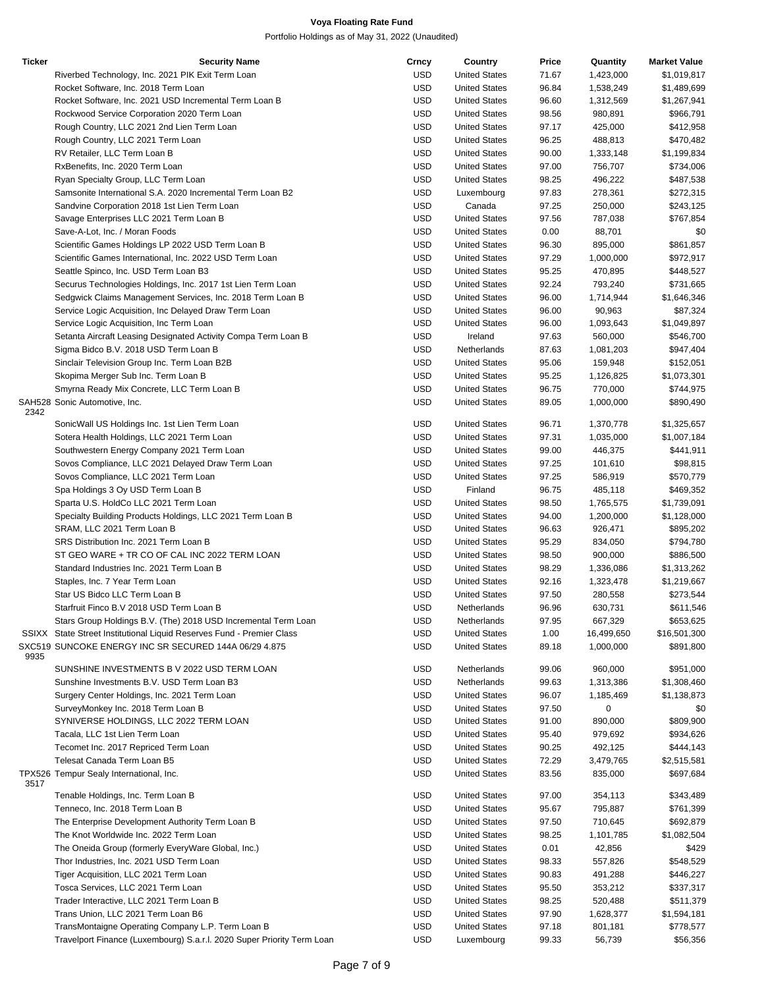| <b>Ticker</b> | <b>Security Name</b>                                                   | Crncy      | Country              | Price | Quantity   | <b>Market Value</b> |
|---------------|------------------------------------------------------------------------|------------|----------------------|-------|------------|---------------------|
|               | Riverbed Technology, Inc. 2021 PIK Exit Term Loan                      | <b>USD</b> | <b>United States</b> | 71.67 | 1,423,000  | \$1,019,817         |
|               | Rocket Software, Inc. 2018 Term Loan                                   | <b>USD</b> | <b>United States</b> | 96.84 | 1,538,249  | \$1,489,699         |
|               | Rocket Software, Inc. 2021 USD Incremental Term Loan B                 | <b>USD</b> | <b>United States</b> | 96.60 | 1,312,569  | \$1,267,941         |
|               | Rockwood Service Corporation 2020 Term Loan                            | <b>USD</b> | <b>United States</b> | 98.56 | 980,891    | \$966,791           |
|               | Rough Country, LLC 2021 2nd Lien Term Loan                             | <b>USD</b> | <b>United States</b> | 97.17 | 425,000    | \$412,958           |
|               | Rough Country, LLC 2021 Term Loan                                      | <b>USD</b> | <b>United States</b> | 96.25 | 488,813    | \$470,482           |
|               | RV Retailer, LLC Term Loan B                                           | <b>USD</b> | <b>United States</b> | 90.00 | 1,333,148  | \$1,199,834         |
|               | RxBenefits, Inc. 2020 Term Loan                                        | <b>USD</b> | <b>United States</b> | 97.00 | 756,707    | \$734,006           |
|               | Ryan Specialty Group, LLC Term Loan                                    | <b>USD</b> | <b>United States</b> | 98.25 | 496,222    | \$487,538           |
|               | Samsonite International S.A. 2020 Incremental Term Loan B2             | <b>USD</b> | Luxembourg           | 97.83 | 278,361    | \$272,315           |
|               | Sandvine Corporation 2018 1st Lien Term Loan                           | <b>USD</b> | Canada               | 97.25 | 250,000    | \$243,125           |
|               | Savage Enterprises LLC 2021 Term Loan B                                | <b>USD</b> | <b>United States</b> | 97.56 | 787,038    | \$767,854           |
|               | Save-A-Lot, Inc. / Moran Foods                                         | <b>USD</b> | <b>United States</b> | 0.00  | 88,701     | \$0                 |
|               |                                                                        | <b>USD</b> | <b>United States</b> | 96.30 | 895,000    | \$861,857           |
|               | Scientific Games Holdings LP 2022 USD Term Loan B                      |            |                      |       |            |                     |
|               | Scientific Games International, Inc. 2022 USD Term Loan                | <b>USD</b> | <b>United States</b> | 97.29 | 1,000,000  | \$972,917           |
|               | Seattle Spinco, Inc. USD Term Loan B3                                  | <b>USD</b> | <b>United States</b> | 95.25 | 470,895    | \$448,527           |
|               | Securus Technologies Holdings, Inc. 2017 1st Lien Term Loan            | <b>USD</b> | <b>United States</b> | 92.24 | 793,240    | \$731,665           |
|               | Sedgwick Claims Management Services, Inc. 2018 Term Loan B             | <b>USD</b> | <b>United States</b> | 96.00 | 1,714,944  | \$1,646,346         |
|               | Service Logic Acquisition, Inc Delayed Draw Term Loan                  | <b>USD</b> | <b>United States</b> | 96.00 | 90,963     | \$87,324            |
|               | Service Logic Acquisition, Inc Term Loan                               | <b>USD</b> | <b>United States</b> | 96.00 | 1,093,643  | \$1,049,897         |
|               | Setanta Aircraft Leasing Designated Activity Compa Term Loan B         | <b>USD</b> | Ireland              | 97.63 | 560,000    | \$546,700           |
|               | Sigma Bidco B.V. 2018 USD Term Loan B                                  | <b>USD</b> | Netherlands          | 87.63 | 1,081,203  | \$947,404           |
|               | Sinclair Television Group Inc. Term Loan B2B                           | <b>USD</b> | <b>United States</b> | 95.06 | 159,948    | \$152,051           |
|               | Skopima Merger Sub Inc. Term Loan B                                    | <b>USD</b> | <b>United States</b> | 95.25 | 1,126,825  | \$1,073,301         |
|               | Smyrna Ready Mix Concrete, LLC Term Loan B                             | <b>USD</b> | <b>United States</b> | 96.75 | 770,000    | \$744,975           |
|               | SAH528 Sonic Automotive, Inc.                                          | <b>USD</b> | <b>United States</b> | 89.05 | 1,000,000  | \$890,490           |
| 2342          |                                                                        |            |                      |       |            |                     |
|               | SonicWall US Holdings Inc. 1st Lien Term Loan                          | <b>USD</b> | <b>United States</b> | 96.71 | 1,370,778  | \$1,325,657         |
|               | Sotera Health Holdings, LLC 2021 Term Loan                             | <b>USD</b> | <b>United States</b> | 97.31 | 1,035,000  | \$1,007,184         |
|               | Southwestern Energy Company 2021 Term Loan                             | <b>USD</b> | <b>United States</b> | 99.00 | 446,375    | \$441,911           |
|               | Sovos Compliance, LLC 2021 Delayed Draw Term Loan                      | <b>USD</b> | <b>United States</b> | 97.25 | 101,610    | \$98,815            |
|               | Sovos Compliance, LLC 2021 Term Loan                                   | <b>USD</b> | <b>United States</b> | 97.25 | 586,919    | \$570,779           |
|               | Spa Holdings 3 Oy USD Term Loan B                                      | <b>USD</b> | Finland              | 96.75 | 485,118    | \$469,352           |
|               | Sparta U.S. HoldCo LLC 2021 Term Loan                                  | <b>USD</b> | <b>United States</b> | 98.50 | 1,765,575  | \$1,739,091         |
|               | Specialty Building Products Holdings, LLC 2021 Term Loan B             | <b>USD</b> | <b>United States</b> | 94.00 | 1,200,000  | \$1,128,000         |
|               | SRAM, LLC 2021 Term Loan B                                             | <b>USD</b> | <b>United States</b> | 96.63 | 926,471    | \$895,202           |
|               | SRS Distribution Inc. 2021 Term Loan B                                 | <b>USD</b> | <b>United States</b> | 95.29 | 834,050    | \$794,780           |
|               | ST GEO WARE + TR CO OF CAL INC 2022 TERM LOAN                          | <b>USD</b> | <b>United States</b> | 98.50 | 900,000    | \$886,500           |
|               | Standard Industries Inc. 2021 Term Loan B                              | <b>USD</b> | <b>United States</b> | 98.29 | 1,336,086  | \$1,313,262         |
|               | Staples, Inc. 7 Year Term Loan                                         | <b>USD</b> | <b>United States</b> | 92.16 | 1,323,478  | \$1,219,667         |
|               | Star US Bidco LLC Term Loan B                                          | <b>USD</b> | <b>United States</b> | 97.50 | 280,558    | \$273,544           |
|               | Starfruit Finco B.V 2018 USD Term Loan B                               | <b>USD</b> | Netherlands          | 96.96 | 630,731    | \$611,546           |
|               | Stars Group Holdings B.V. (The) 2018 USD Incremental Term Loan         | USD        | Netherlands          | 97.95 | 667,329    | \$653,625           |
|               | SSIXX State Street Institutional Liquid Reserves Fund - Premier Class  | <b>USD</b> | <b>United States</b> | 1.00  | 16,499,650 | \$16,501,300        |
|               | SXC519 SUNCOKE ENERGY INC SR SECURED 144A 06/29 4.875                  | USD        | <b>United States</b> | 89.18 | 1,000,000  | \$891,800           |
| 9935          |                                                                        |            |                      |       |            |                     |
|               | SUNSHINE INVESTMENTS BV 2022 USD TERM LOAN                             | USD        | Netherlands          | 99.06 | 960,000    | \$951,000           |
|               | Sunshine Investments B.V. USD Term Loan B3                             | <b>USD</b> | Netherlands          | 99.63 | 1,313,386  | \$1,308,460         |
|               | Surgery Center Holdings, Inc. 2021 Term Loan                           | <b>USD</b> | <b>United States</b> | 96.07 | 1,185,469  | \$1,138,873         |
|               | SurveyMonkey Inc. 2018 Term Loan B                                     | <b>USD</b> | <b>United States</b> | 97.50 | 0          | \$0                 |
|               | SYNIVERSE HOLDINGS, LLC 2022 TERM LOAN                                 | <b>USD</b> | <b>United States</b> | 91.00 | 890,000    | \$809,900           |
|               | Tacala, LLC 1st Lien Term Loan                                         | <b>USD</b> | <b>United States</b> | 95.40 | 979,692    | \$934,626           |
|               | Tecomet Inc. 2017 Repriced Term Loan                                   | <b>USD</b> | <b>United States</b> | 90.25 | 492,125    | \$444,143           |
|               | Telesat Canada Term Loan B5                                            | <b>USD</b> | <b>United States</b> | 72.29 | 3,479,765  | \$2,515,581         |
|               |                                                                        | <b>USD</b> |                      |       |            |                     |
| 3517          | TPX526 Tempur Sealy International, Inc.                                |            | <b>United States</b> | 83.56 | 835,000    | \$697,684           |
|               | Tenable Holdings, Inc. Term Loan B                                     | USD        | <b>United States</b> | 97.00 | 354,113    | \$343,489           |
|               | Tenneco, Inc. 2018 Term Loan B                                         | USD        | <b>United States</b> | 95.67 | 795,887    | \$761,399           |
|               | The Enterprise Development Authority Term Loan B                       | USD        | <b>United States</b> | 97.50 | 710,645    | \$692,879           |
|               | The Knot Worldwide Inc. 2022 Term Loan                                 | USD        | <b>United States</b> | 98.25 | 1,101,785  | \$1,082,504         |
|               | The Oneida Group (formerly EveryWare Global, Inc.)                     | <b>USD</b> | <b>United States</b> | 0.01  | 42,856     | \$429               |
|               |                                                                        |            |                      |       |            |                     |
|               | Thor Industries, Inc. 2021 USD Term Loan                               | <b>USD</b> | <b>United States</b> | 98.33 | 557,826    | \$548,529           |
|               | Tiger Acquisition, LLC 2021 Term Loan                                  | <b>USD</b> | <b>United States</b> | 90.83 | 491,288    | \$446,227           |
|               | Tosca Services, LLC 2021 Term Loan                                     | USD        | <b>United States</b> | 95.50 | 353,212    | \$337,317           |
|               | Trader Interactive, LLC 2021 Term Loan B                               | USD        | <b>United States</b> | 98.25 | 520,488    | \$511,379           |
|               | Trans Union, LLC 2021 Term Loan B6                                     | USD        | <b>United States</b> | 97.90 | 1,628,377  | \$1,594,181         |
|               | TransMontaigne Operating Company L.P. Term Loan B                      | <b>USD</b> | <b>United States</b> | 97.18 | 801,181    | \$778,577           |
|               | Travelport Finance (Luxembourg) S.a.r.l. 2020 Super Priority Term Loan | USD        | Luxembourg           | 99.33 | 56,739     | \$56,356            |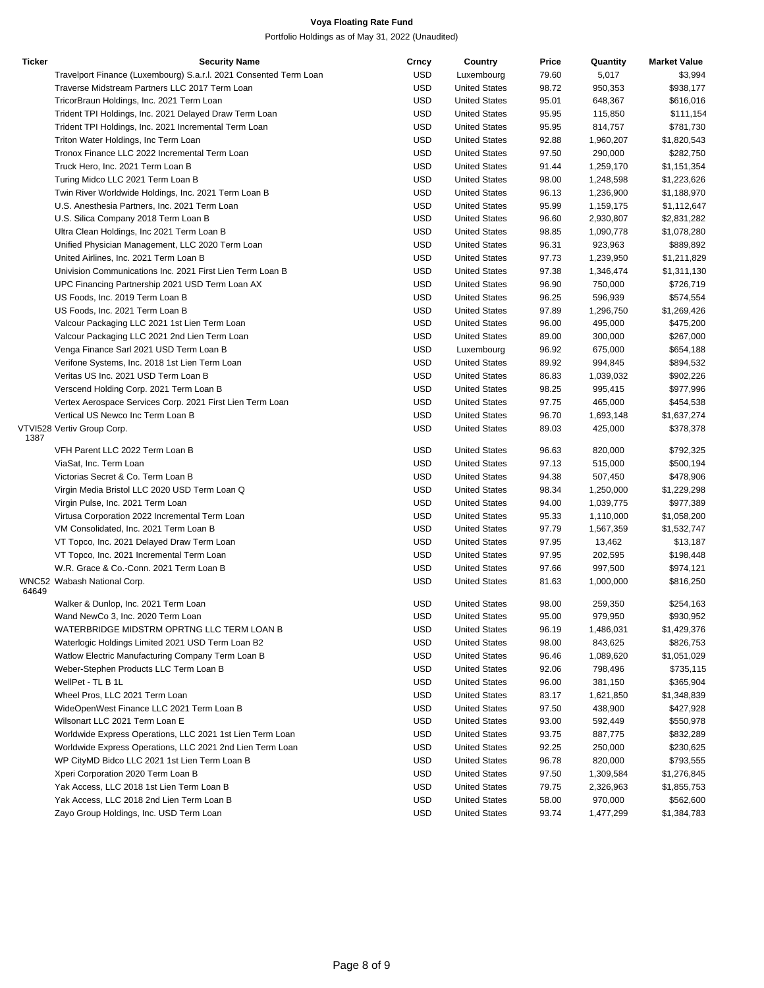| Ticker | <b>Security Name</b>                                              | Crncy      | Country              | Price | Quantity  | <b>Market Value</b> |
|--------|-------------------------------------------------------------------|------------|----------------------|-------|-----------|---------------------|
|        | Travelport Finance (Luxembourg) S.a.r.l. 2021 Consented Term Loan | <b>USD</b> | Luxembourg           | 79.60 | 5,017     | \$3,994             |
|        | Traverse Midstream Partners LLC 2017 Term Loan                    | <b>USD</b> | <b>United States</b> | 98.72 | 950,353   | \$938,177           |
|        | TricorBraun Holdings, Inc. 2021 Term Loan                         | <b>USD</b> | <b>United States</b> | 95.01 | 648,367   | \$616,016           |
|        | Trident TPI Holdings, Inc. 2021 Delayed Draw Term Loan            | <b>USD</b> | <b>United States</b> | 95.95 | 115,850   | \$111,154           |
|        | Trident TPI Holdings, Inc. 2021 Incremental Term Loan             | <b>USD</b> | <b>United States</b> | 95.95 | 814,757   | \$781,730           |
|        | Triton Water Holdings, Inc Term Loan                              | <b>USD</b> | <b>United States</b> | 92.88 | 1,960,207 | \$1,820,543         |
|        | Tronox Finance LLC 2022 Incremental Term Loan                     | <b>USD</b> | <b>United States</b> | 97.50 | 290,000   | \$282,750           |
|        | Truck Hero, Inc. 2021 Term Loan B                                 | <b>USD</b> | <b>United States</b> | 91.44 | 1,259,170 | \$1,151,354         |
|        | Turing Midco LLC 2021 Term Loan B                                 | <b>USD</b> | <b>United States</b> | 98.00 | 1,248,598 | \$1,223,626         |
|        | Twin River Worldwide Holdings, Inc. 2021 Term Loan B              | <b>USD</b> | <b>United States</b> | 96.13 | 1,236,900 | \$1,188,970         |
|        | U.S. Anesthesia Partners, Inc. 2021 Term Loan                     | <b>USD</b> | <b>United States</b> | 95.99 | 1,159,175 | \$1,112,647         |
|        | U.S. Silica Company 2018 Term Loan B                              | <b>USD</b> | <b>United States</b> | 96.60 | 2,930,807 | \$2,831,282         |
|        | Ultra Clean Holdings, Inc 2021 Term Loan B                        | <b>USD</b> | <b>United States</b> | 98.85 | 1,090,778 | \$1,078,280         |
|        | Unified Physician Management, LLC 2020 Term Loan                  | <b>USD</b> | <b>United States</b> | 96.31 | 923,963   | \$889,892           |
|        | United Airlines, Inc. 2021 Term Loan B                            | <b>USD</b> | <b>United States</b> | 97.73 | 1,239,950 | \$1,211,829         |
|        | Univision Communications Inc. 2021 First Lien Term Loan B         | <b>USD</b> | <b>United States</b> | 97.38 | 1,346,474 | \$1,311,130         |
|        | UPC Financing Partnership 2021 USD Term Loan AX                   | <b>USD</b> | <b>United States</b> | 96.90 | 750,000   | \$726,719           |
|        | US Foods, Inc. 2019 Term Loan B                                   | <b>USD</b> | <b>United States</b> | 96.25 | 596,939   | \$574,554           |
|        | US Foods, Inc. 2021 Term Loan B                                   | <b>USD</b> | <b>United States</b> | 97.89 | 1,296,750 | \$1,269,426         |
|        | Valcour Packaging LLC 2021 1st Lien Term Loan                     | <b>USD</b> | <b>United States</b> | 96.00 | 495,000   | \$475,200           |
|        | Valcour Packaging LLC 2021 2nd Lien Term Loan                     | <b>USD</b> | <b>United States</b> | 89.00 | 300,000   | \$267,000           |
|        | Venga Finance Sarl 2021 USD Term Loan B                           | <b>USD</b> | Luxembourg           | 96.92 | 675,000   | \$654,188           |
|        | Verifone Systems, Inc. 2018 1st Lien Term Loan                    | <b>USD</b> | <b>United States</b> | 89.92 | 994,845   | \$894,532           |
|        | Veritas US Inc. 2021 USD Term Loan B                              | <b>USD</b> | <b>United States</b> | 86.83 | 1,039,032 | \$902,226           |
|        | Verscend Holding Corp. 2021 Term Loan B                           | <b>USD</b> | <b>United States</b> | 98.25 | 995,415   | \$977,996           |
|        | Vertex Aerospace Services Corp. 2021 First Lien Term Loan         | <b>USD</b> | <b>United States</b> | 97.75 | 465,000   | \$454,538           |
|        | Vertical US Newco Inc Term Loan B                                 | <b>USD</b> | <b>United States</b> | 96.70 | 1,693,148 | \$1,637,274         |
|        | VTVI528 Vertiv Group Corp.                                        | <b>USD</b> | <b>United States</b> | 89.03 | 425,000   | \$378,378           |
| 1387   |                                                                   |            |                      |       |           |                     |
|        | VFH Parent LLC 2022 Term Loan B                                   | USD        | <b>United States</b> | 96.63 | 820,000   | \$792,325           |
|        | ViaSat, Inc. Term Loan                                            | <b>USD</b> | <b>United States</b> | 97.13 | 515,000   | \$500,194           |
|        | Victorias Secret & Co. Term Loan B                                | <b>USD</b> | <b>United States</b> | 94.38 | 507,450   | \$478,906           |
|        | Virgin Media Bristol LLC 2020 USD Term Loan Q                     | <b>USD</b> | <b>United States</b> | 98.34 | 1,250,000 | \$1,229,298         |
|        | Virgin Pulse, Inc. 2021 Term Loan                                 | <b>USD</b> | <b>United States</b> | 94.00 | 1,039,775 | \$977,389           |
|        | Virtusa Corporation 2022 Incremental Term Loan                    | <b>USD</b> | <b>United States</b> | 95.33 | 1,110,000 | \$1,058,200         |
|        | VM Consolidated, Inc. 2021 Term Loan B                            | <b>USD</b> | <b>United States</b> | 97.79 | 1,567,359 | \$1,532,747         |
|        | VT Topco, Inc. 2021 Delayed Draw Term Loan                        | <b>USD</b> | <b>United States</b> | 97.95 | 13,462    | \$13,187            |
|        | VT Topco, Inc. 2021 Incremental Term Loan                         | <b>USD</b> | <b>United States</b> | 97.95 | 202,595   | \$198,448           |
|        | W.R. Grace & Co.-Conn. 2021 Term Loan B                           | <b>USD</b> | <b>United States</b> | 97.66 | 997,500   | \$974,121           |
|        | WNC52 Wabash National Corp.                                       | <b>USD</b> | <b>United States</b> | 81.63 | 1,000,000 | \$816,250           |
| 64649  |                                                                   |            |                      |       |           |                     |
|        | Walker & Dunlop, Inc. 2021 Term Loan                              | <b>USD</b> | <b>United States</b> | 98.00 | 259,350   | \$254,163           |
|        | Wand NewCo 3, Inc. 2020 Term Loan                                 | USD        | <b>United States</b> | 95.00 | 979,950   | \$930,952           |
|        | WATERBRIDGE MIDSTRM OPRTNG LLC TERM LOAN B                        | <b>USD</b> | <b>United States</b> | 96.19 | 1,486,031 | \$1,429,376         |
|        | Waterlogic Holdings Limited 2021 USD Term Loan B2                 | <b>USD</b> | <b>United States</b> | 98.00 | 843,625   | \$826,753           |
|        | Watlow Electric Manufacturing Company Term Loan B                 | <b>USD</b> | <b>United States</b> | 96.46 | 1,089,620 | \$1,051,029         |
|        | Weber-Stephen Products LLC Term Loan B                            | <b>USD</b> | <b>United States</b> | 92.06 | 798,496   | \$735,115           |
|        | WellPet - TL B 1L                                                 | <b>USD</b> | <b>United States</b> | 96.00 | 381,150   | \$365,904           |
|        | Wheel Pros, LLC 2021 Term Loan                                    | <b>USD</b> | <b>United States</b> | 83.17 | 1,621,850 | \$1,348,839         |
|        | WideOpenWest Finance LLC 2021 Term Loan B                         | <b>USD</b> | <b>United States</b> | 97.50 | 438,900   | \$427,928           |
|        | Wilsonart LLC 2021 Term Loan E                                    | USD        | <b>United States</b> | 93.00 | 592,449   | \$550,978           |
|        | Worldwide Express Operations, LLC 2021 1st Lien Term Loan         | <b>USD</b> | <b>United States</b> | 93.75 | 887,775   | \$832,289           |
|        | Worldwide Express Operations, LLC 2021 2nd Lien Term Loan         | <b>USD</b> | <b>United States</b> | 92.25 | 250,000   | \$230,625           |
|        | WP CityMD Bidco LLC 2021 1st Lien Term Loan B                     | <b>USD</b> | <b>United States</b> | 96.78 | 820,000   | \$793,555           |
|        | Xperi Corporation 2020 Term Loan B                                | <b>USD</b> | <b>United States</b> | 97.50 | 1,309,584 | \$1,276,845         |
|        | Yak Access, LLC 2018 1st Lien Term Loan B                         | <b>USD</b> | <b>United States</b> | 79.75 | 2,326,963 | \$1,855,753         |
|        | Yak Access, LLC 2018 2nd Lien Term Loan B                         | <b>USD</b> | <b>United States</b> | 58.00 | 970,000   | \$562,600           |
|        | Zayo Group Holdings, Inc. USD Term Loan                           | <b>USD</b> | <b>United States</b> | 93.74 | 1,477,299 | \$1,384,783         |
|        |                                                                   |            |                      |       |           |                     |